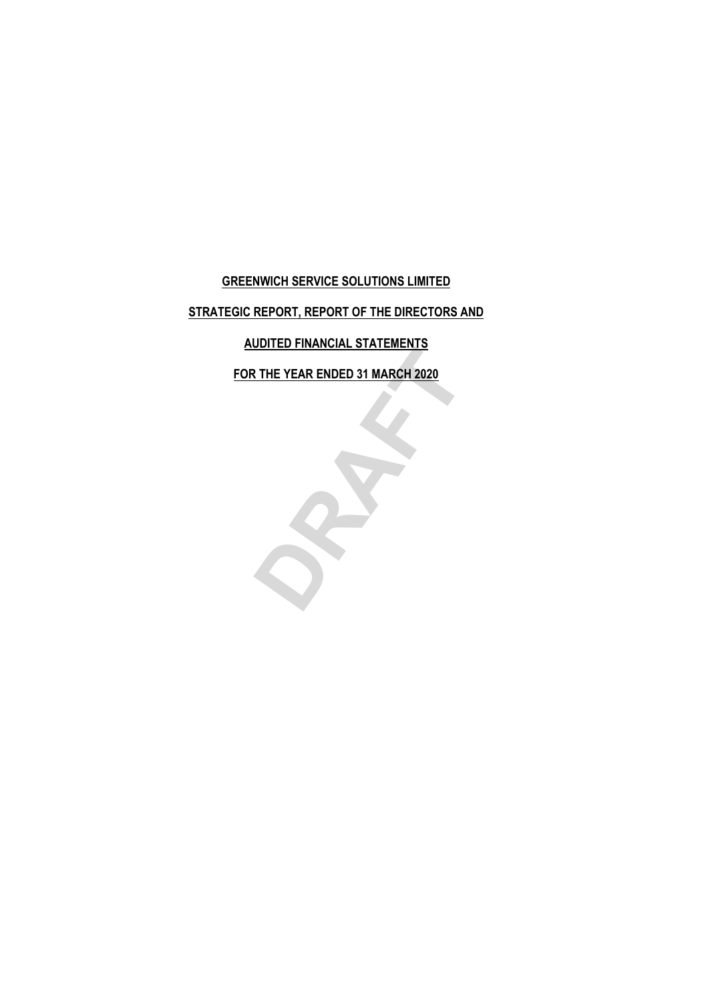**STRATEGIC REPORT, REPORT OF THE DIRECTORS AND**

**AUDITED FINANCIAL STATEMENTS**

**FOR THE YEAR ENDED 31 MARCH 2020**

**DRAFT**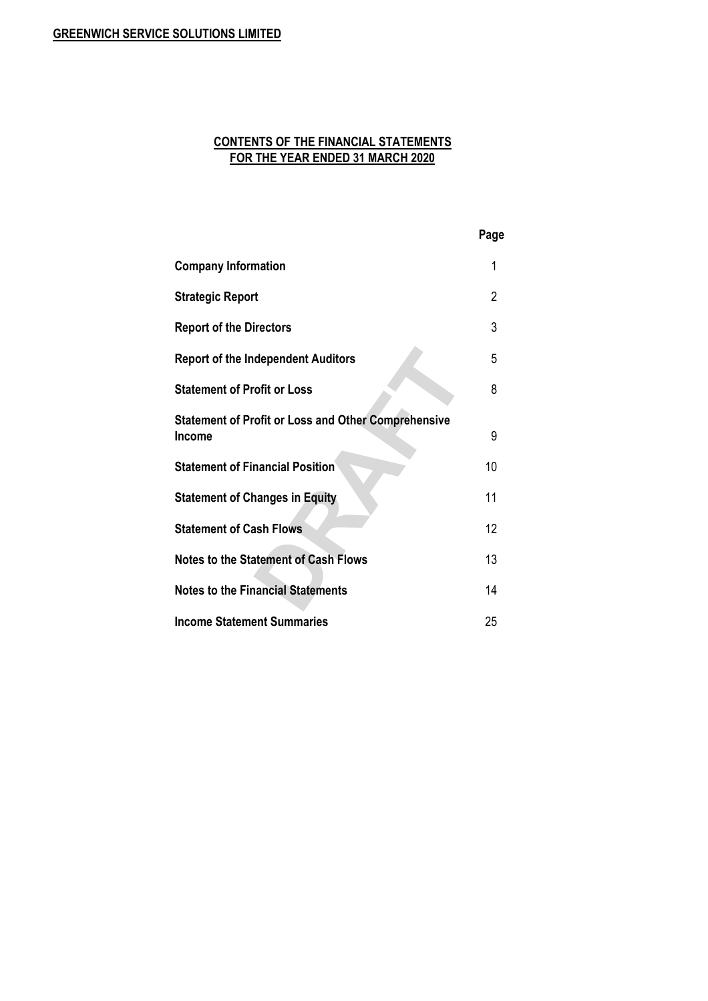# **CONTENTS OF THE FINANCIAL STATEMENTS FOR THE YEAR ENDED 31 MARCH 2020**

|                                                                      | Page |
|----------------------------------------------------------------------|------|
| <b>Company Information</b>                                           | 1    |
| <b>Strategic Report</b>                                              | 2    |
| <b>Report of the Directors</b>                                       | 3    |
| <b>Report of the Independent Auditors</b>                            | 5    |
| <b>Statement of Profit or Loss</b>                                   | 8    |
| <b>Statement of Profit or Loss and Other Comprehensive</b><br>Income | 9    |
| <b>Statement of Financial Position</b>                               | 10   |
| <b>Statement of Changes in Equity</b>                                | 11   |
| <b>Statement of Cash Flows</b>                                       | 12   |
| <b>Notes to the Statement of Cash Flows</b>                          | 13   |
| <b>Notes to the Financial Statements</b>                             | 14   |
| <b>Income Statement Summaries</b>                                    | 25   |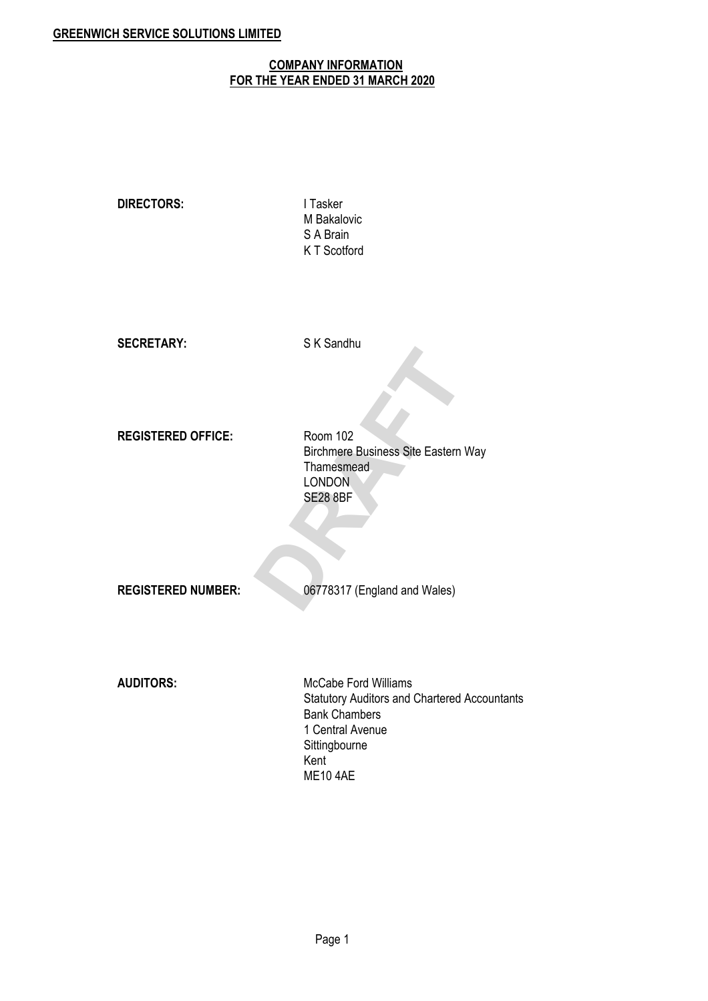# **COMPANY INFORMATION FOR THE YEAR ENDED 31 MARCH 2020**

| <b>DIRECTORS:</b>         | I Tasker<br>M Bakalovic<br>S A Brain<br><b>KT</b> Scotford                                                                                                                 |
|---------------------------|----------------------------------------------------------------------------------------------------------------------------------------------------------------------------|
| <b>SECRETARY:</b>         | S K Sandhu                                                                                                                                                                 |
| <b>REGISTERED OFFICE:</b> | Room 102<br>Birchmere Business Site Eastern Way<br>Thamesmead<br><b>LONDON</b><br><b>SE28 8BF</b>                                                                          |
| <b>REGISTERED NUMBER:</b> | 06778317 (England and Wales)                                                                                                                                               |
| <b>AUDITORS:</b>          | <b>McCabe Ford Williams</b><br><b>Statutory Auditors and Chartered Accountants</b><br><b>Bank Chambers</b><br>1 Central Avenue<br>Sittingbourne<br>Kent<br><b>ME10 4AE</b> |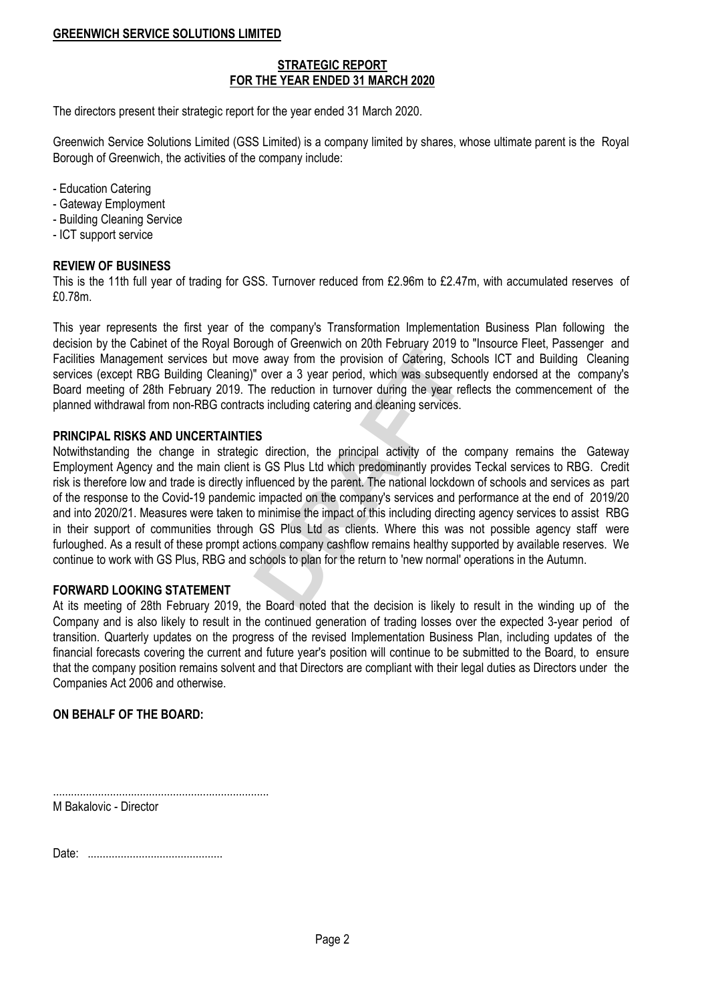### **STRATEGIC REPORT FOR THE YEAR ENDED 31 MARCH 2020**

The directors present their strategic report for the year ended 31 March 2020.

Greenwich Service Solutions Limited (GSS Limited) is a company limited by shares, whose ultimate parent is the Royal Borough of Greenwich, the activities of the company include:

- Education Catering
- Gateway Employment
- Building Cleaning Service
- ICT support service

## **REVIEW OF BUSINESS**

This is the 11th full year of trading for GSS. Turnover reduced from £2.96m to £2.47m, with accumulated reserves of £0.78m.

This year represents the first year of the company's Transformation Implementation Business Plan following the decision by the Cabinet of the Royal Borough of Greenwich on 20th February 2019 to "Insource Fleet, Passenger and Facilities Management services but move away from the provision of Catering, Schools ICT and Building Cleaning services (except RBG Building Cleaning)" over a 3 year period, which was subsequently endorsed at the company's Board meeting of 28th February 2019. The reduction in turnover during the year reflects the commencement of the planned withdrawal from non-RBG contracts including catering and cleaning services.

# **PRINCIPAL RISKS AND UNCERTAINTIES**

Example a way from the provision of Catering, Schools<br> **DRAFT** e away from the provision of Catering, Schools<br> **PRAFT CONTERT CONTERT CONTERT CONTERT**<br>
In the reduction in turnover during the year reflects<br> **EXE**<br> **CS**<br> **C** Notwithstanding the change in strategic direction, the principal activity of the company remains the Gateway Employment Agency and the main client is GS Plus Ltd which predominantly provides Teckal services to RBG. Credit risk is therefore low and trade is directly influenced by the parent. The national lockdown of schools and services as part of the response to the Covid-19 pandemic impacted on the company's services and performance at the end of 2019/20 and into 2020/21. Measures were taken to minimise the impact of this including directing agency services to assist RBG in their support of communities through GS Plus Ltd as clients. Where this was not possible agency staff were furloughed. As a result of these prompt actions company cashflow remains healthy supported by available reserves. We continue to work with GS Plus, RBG and schools to plan for the return to 'new normal' operations in the Autumn.

### **FORWARD LOOKING STATEMENT**

At its meeting of 28th February 2019, the Board noted that the decision is likely to result in the winding up of the Company and is also likely to result in the continued generation of trading losses over the expected 3-year period of transition. Quarterly updates on the progress of the revised Implementation Business Plan, including updates of the financial forecasts covering the current and future year's position will continue to be submitted to the Board, to ensure that the company position remains solvent and that Directors are compliant with their legal duties as Directors under the Companies Act 2006 and otherwise.

### **ON BEHALF OF THE BOARD:**

........................................................................ M Bakalovic - Director

Date: .............................................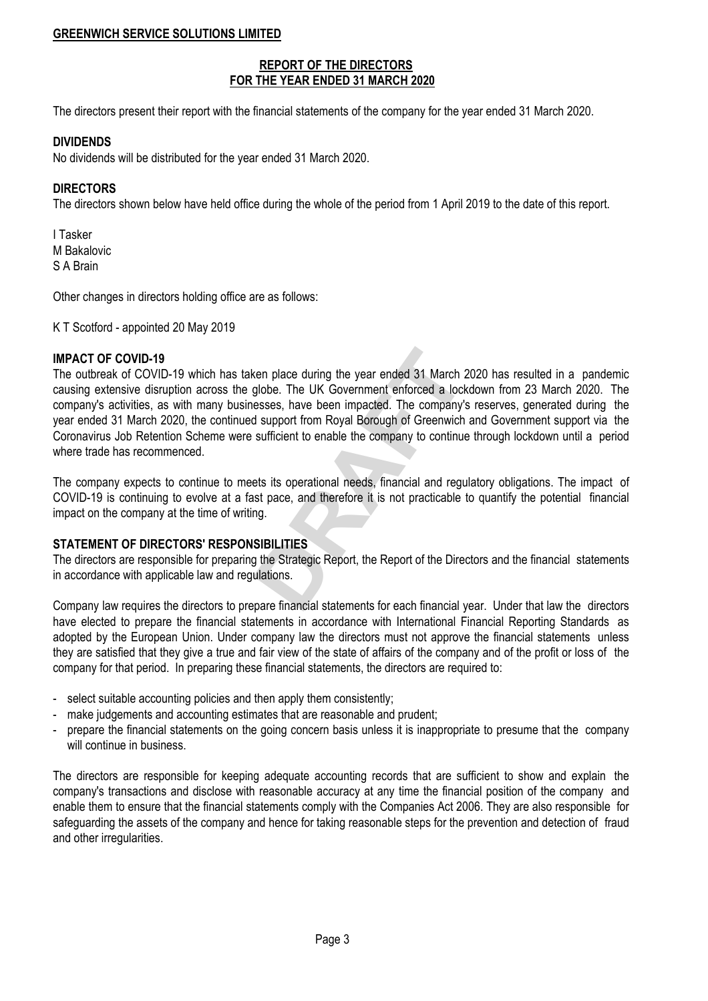### **REPORT OF THE DIRECTORS FOR THE YEAR ENDED 31 MARCH 2020**

The directors present their report with the financial statements of the company for the year ended 31 March 2020.

### **DIVIDENDS**

No dividends will be distributed for the year ended 31 March 2020.

### **DIRECTORS**

The directors shown below have held office during the whole of the period from 1 April 2019 to the date of this report.

I Tasker M Bakalovic S A Brain

Other changes in directors holding office are as follows:

K T Scotford - appointed 20 May 2019

### **IMPACT OF COVID-19**

Example the year ended 31 March 2020<br>globe. The UK Government enforced a lockdow<br>esses, have been impacted. The company's res<br>d support from Royal Borough of Greenwich and<br>sufficient to enable the company to continue three The outbreak of COVID-19 which has taken place during the year ended 31 March 2020 has resulted in a pandemic causing extensive disruption across the globe. The UK Government enforced a lockdown from 23 March 2020. The company's activities, as with many businesses, have been impacted. The company's reserves, generated during the year ended 31 March 2020, the continued support from Royal Borough of Greenwich and Government support via the Coronavirus Job Retention Scheme were sufficient to enable the company to continue through lockdown until a period where trade has recommenced.

The company expects to continue to meets its operational needs, financial and regulatory obligations. The impact of COVID-19 is continuing to evolve at a fast pace, and therefore it is not practicable to quantify the potential financial impact on the company at the time of writing.

### **STATEMENT OF DIRECTORS' RESPONSIBILITIES**

The directors are responsible for preparing the Strategic Report, the Report of the Directors and the financial statements in accordance with applicable law and regulations.

Company law requires the directors to prepare financial statements for each financial year. Under that law the directors have elected to prepare the financial statements in accordance with International Financial Reporting Standards as adopted by the European Union. Under company law the directors must not approve the financial statements unless they are satisfied that they give a true and fair view of the state of affairs of the company and of the profit or loss of the company for that period. In preparing these financial statements, the directors are required to:

- select suitable accounting policies and then apply them consistently;
- make judgements and accounting estimates that are reasonable and prudent;
- prepare the financial statements on the going concern basis unless it is inappropriate to presume that the company will continue in business.

The directors are responsible for keeping adequate accounting records that are sufficient to show and explain the company's transactions and disclose with reasonable accuracy at any time the financial position of the company and enable them to ensure that the financial statements comply with the Companies Act 2006. They are also responsible for safeguarding the assets of the company and hence for taking reasonable steps for the prevention and detection of fraud and other irregularities.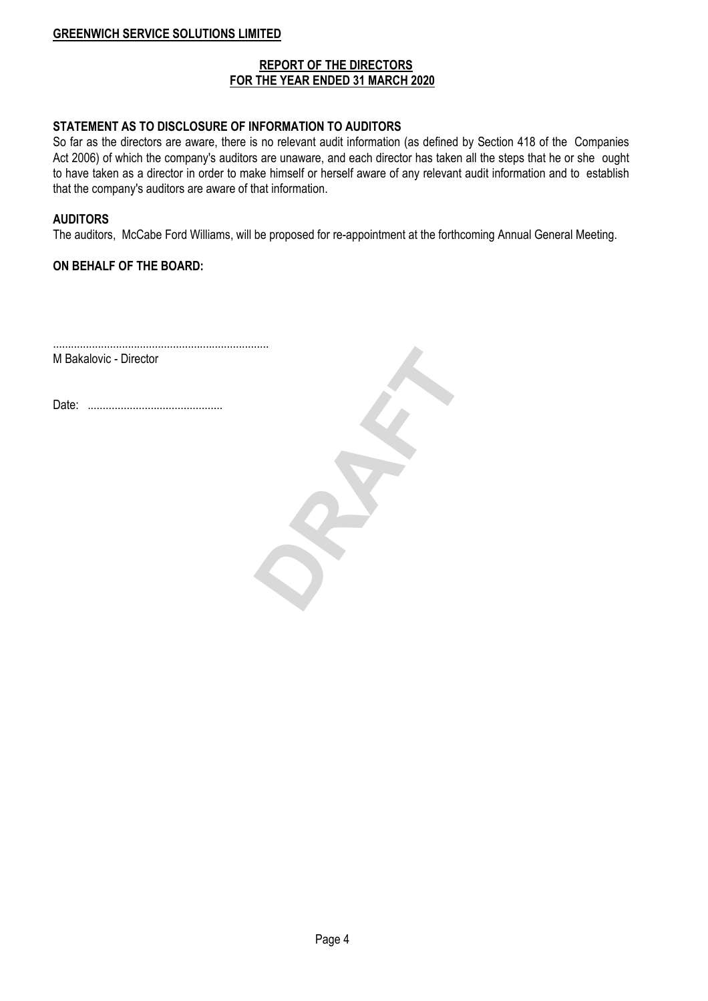### **REPORT OF THE DIRECTORS FOR THE YEAR ENDED 31 MARCH 2020**

## **STATEMENT AS TO DISCLOSURE OF INFORMATION TO AUDITORS**

So far as the directors are aware, there is no relevant audit information (as defined by Section 418 of the Companies Act 2006) of which the company's auditors are unaware, and each director has taken all the steps that he or she ought to have taken as a director in order to make himself or herself aware of any relevant audit information and to establish that the company's auditors are aware of that information.

## **AUDITORS**

The auditors, McCabe Ford Williams, will be proposed for re-appointment at the forthcoming Annual General Meeting.

## **ON BEHALF OF THE BOARD:**

**DRAFT** ........................................................................ M Bakalovic - Director

Date: .............................................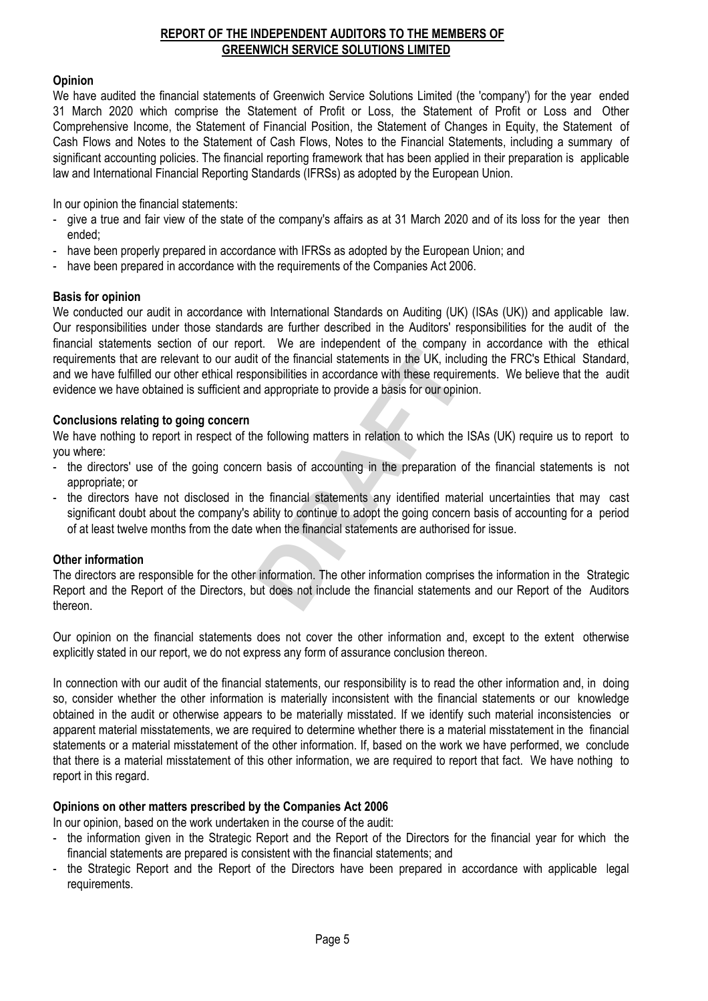# **REPORT OF THE INDEPENDENT AUDITORS TO THE MEMBERS OF GREENWICH SERVICE SOLUTIONS LIMITED**

# **Opinion**

We have audited the financial statements of Greenwich Service Solutions Limited (the 'company') for the year ended 31 March 2020 which comprise the Statement of Profit or Loss, the Statement of Profit or Loss and Other Comprehensive Income, the Statement of Financial Position, the Statement of Changes in Equity, the Statement of Cash Flows and Notes to the Statement of Cash Flows, Notes to the Financial Statements, including a summary of significant accounting policies. The financial reporting framework that has been applied in their preparation is applicable law and International Financial Reporting Standards (IFRSs) as adopted by the European Union.

In our opinion the financial statements:

- give a true and fair view of the state of the company's affairs as at 31 March 2020 and of its loss for the year then ended;
- have been properly prepared in accordance with IFRSs as adopted by the European Union; and
- have been prepared in accordance with the requirements of the Companies Act 2006.

# **Basis for opinion**

First the financial statements in the UK, including<br>bonsibilities in accordance with these requirement<br>d appropriate to provide a basis for our opinion.<br>The following matters in relation to which the ISAs<br>arm basis of acco We conducted our audit in accordance with International Standards on Auditing (UK) (ISAs (UK)) and applicable law. Our responsibilities under those standards are further described in the Auditors' responsibilities for the audit of the financial statements section of our report. We are independent of the company in accordance with the ethical requirements that are relevant to our audit of the financial statements in the UK, including the FRC's Ethical Standard, and we have fulfilled our other ethical responsibilities in accordance with these requirements. We believe that the audit evidence we have obtained is sufficient and appropriate to provide a basis for our opinion.

# **Conclusions relating to going concern**

We have nothing to report in respect of the following matters in relation to which the ISAs (UK) require us to report to you where:

- the directors' use of the going concern basis of accounting in the preparation of the financial statements is not appropriate; or
- the directors have not disclosed in the financial statements any identified material uncertainties that may cast significant doubt about the company's ability to continue to adopt the going concern basis of accounting for a period of at least twelve months from the date when the financial statements are authorised for issue.

# **Other information**

The directors are responsible for the other information. The other information comprises the information in the Strategic Report and the Report of the Directors, but does not include the financial statements and our Report of the Auditors thereon.

Our opinion on the financial statements does not cover the other information and, except to the extent otherwise explicitly stated in our report, we do not express any form of assurance conclusion thereon.

In connection with our audit of the financial statements, our responsibility is to read the other information and, in doing so, consider whether the other information is materially inconsistent with the financial statements or our knowledge obtained in the audit or otherwise appears to be materially misstated. If we identify such material inconsistencies or apparent material misstatements, we are required to determine whether there is a material misstatement in the financial statements or a material misstatement of the other information. If, based on the work we have performed, we conclude that there is a material misstatement of this other information, we are required to report that fact. We have nothing to report in this regard.

# **Opinions on other matters prescribed by the Companies Act 2006**

In our opinion, based on the work undertaken in the course of the audit:

- the information given in the Strategic Report and the Report of the Directors for the financial year for which the financial statements are prepared is consistent with the financial statements; and
- the Strategic Report and the Report of the Directors have been prepared in accordance with applicable legal requirements.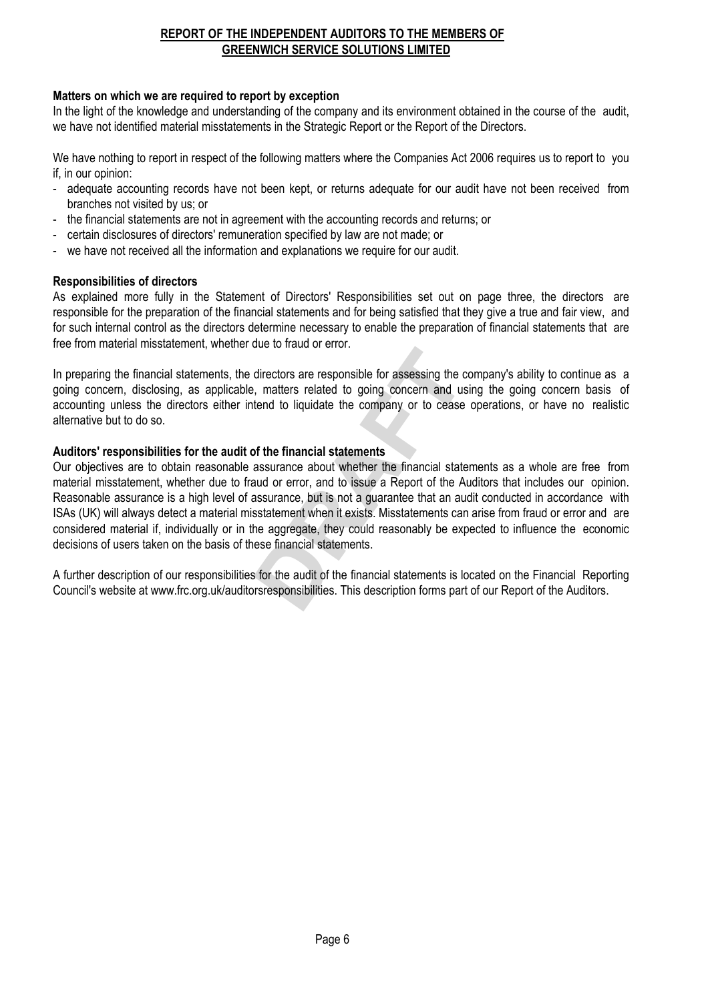# **REPORT OF THE INDEPENDENT AUDITORS TO THE MEMBERS OF GREENWICH SERVICE SOLUTIONS LIMITED**

# **Matters on which we are required to report by exception**

In the light of the knowledge and understanding of the company and its environment obtained in the course of the audit, we have not identified material misstatements in the Strategic Report or the Report of the Directors.

We have nothing to report in respect of the following matters where the Companies Act 2006 requires us to report to you if, in our opinion:

- adequate accounting records have not been kept, or returns adequate for our audit have not been received from branches not visited by us; or
- the financial statements are not in agreement with the accounting records and returns; or
- certain disclosures of directors' remuneration specified by law are not made; or
- we have not received all the information and explanations we require for our audit.

## **Responsibilities of directors**

As explained more fully in the Statement of Directors' Responsibilities set out on page three, the directors are responsible for the preparation of the financial statements and for being satisfied that they give a true and fair view, and for such internal control as the directors determine necessary to enable the preparation of financial statements that are free from material misstatement, whether due to fraud or error.

In preparing the financial statements, the directors are responsible for assessing the company's ability to continue as a going concern, disclosing, as applicable, matters related to going concern and using the going concern basis of accounting unless the directors either intend to liquidate the company or to cease operations, or have no realistic alternative but to do so.

## **Auditors' responsibilities for the audit of the financial statements**

directors are responsible for assessing the comp<br>, matters related to going concern and using<br>tend to liquidate the company or to cease ope<br>**of the financial statements**<br>assurance about whether the financial statement<br>and Our objectives are to obtain reasonable assurance about whether the financial statements as a whole are free from material misstatement, whether due to fraud or error, and to issue a Report of the Auditors that includes our opinion. Reasonable assurance is a high level of assurance, but is not a guarantee that an audit conducted in accordance with ISAs (UK) will always detect a material misstatement when it exists. Misstatements can arise from fraud or error and are considered material if, individually or in the aggregate, they could reasonably be expected to influence the economic decisions of users taken on the basis of these financial statements.

A further description of our responsibilities for the audit of the financial statements is located on the Financial Reporting Council's website at www.frc.org.uk/auditorsresponsibilities. This description forms part of our Report of the Auditors.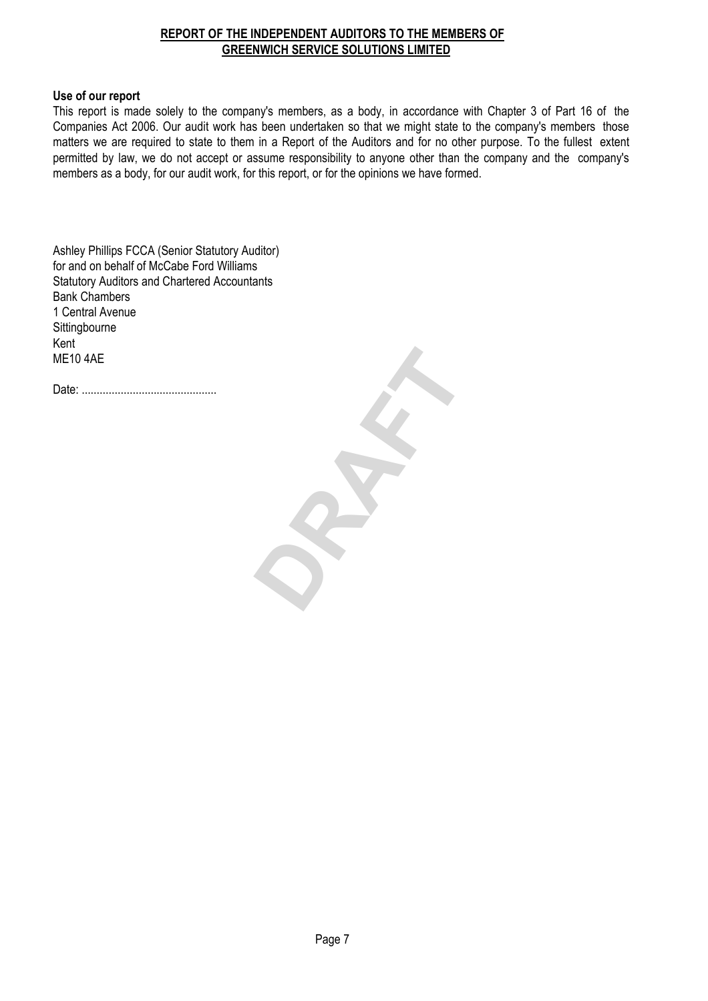# **REPORT OF THE INDEPENDENT AUDITORS TO THE MEMBERS OF GREENWICH SERVICE SOLUTIONS LIMITED**

## **Use of our report**

This report is made solely to the company's members, as a body, in accordance with Chapter 3 of Part 16 of the Companies Act 2006. Our audit work has been undertaken so that we might state to the company's members those matters we are required to state to them in a Report of the Auditors and for no other purpose. To the fullest extent permitted by law, we do not accept or assume responsibility to anyone other than the company and the company's members as a body, for our audit work, for this report, or for the opinions we have formed.

Ashley Phillips FCCA (Senior Statutory Auditor) for and on behalf of McCabe Ford Williams Statutory Auditors and Chartered Accountants Bank Chambers 1 Central Avenue **Sittingbourne** Kent ME10 4AE

Date: .............................................

**DRAFT**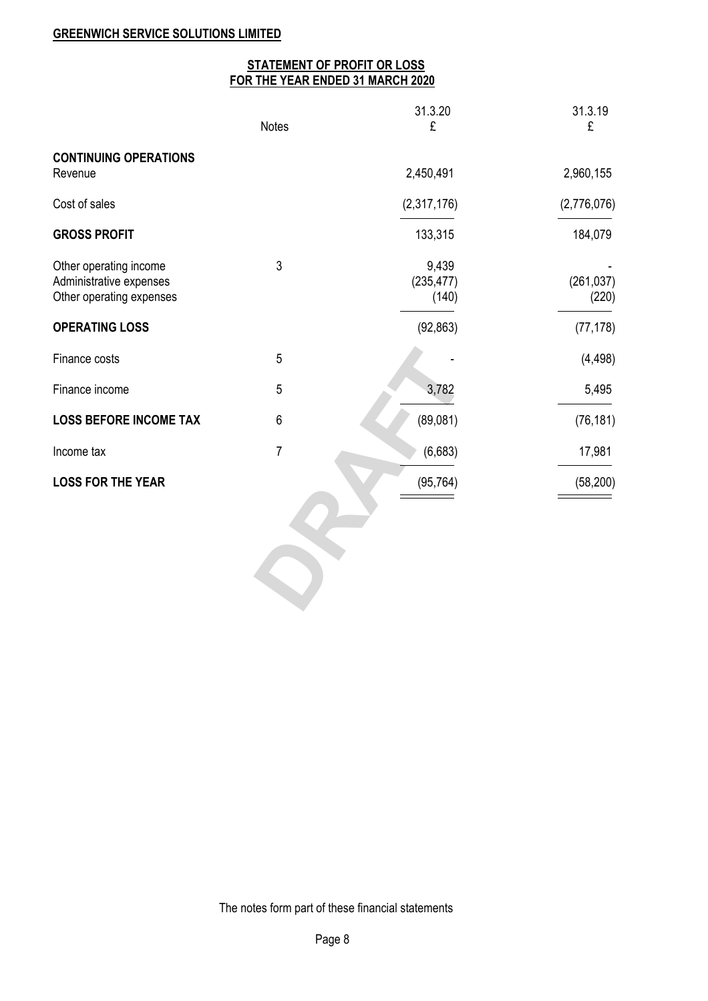# **STATEMENT OF PROFIT OR LOSS FOR THE YEAR ENDED 31 MARCH 2020**

|                                                                               |                | 31.3.20                      | 31.3.19             |
|-------------------------------------------------------------------------------|----------------|------------------------------|---------------------|
|                                                                               | <b>Notes</b>   | £                            | £                   |
| <b>CONTINUING OPERATIONS</b><br>Revenue                                       |                | 2,450,491                    | 2,960,155           |
| Cost of sales                                                                 |                | (2,317,176)                  | (2,776,076)         |
| <b>GROSS PROFIT</b>                                                           |                | 133,315                      | 184,079             |
| Other operating income<br>Administrative expenses<br>Other operating expenses | $\mathfrak{Z}$ | 9,439<br>(235, 477)<br>(140) | (261, 037)<br>(220) |
| <b>OPERATING LOSS</b>                                                         |                | (92, 863)                    | (77, 178)           |
| Finance costs                                                                 | 5              |                              | (4, 498)            |
| Finance income                                                                | 5              | 3,782                        | 5,495               |
| <b>LOSS BEFORE INCOME TAX</b>                                                 | 6              | (89,081)                     | (76, 181)           |
| Income tax                                                                    | $\overline{7}$ | (6,683)                      | 17,981              |
| <b>LOSS FOR THE YEAR</b>                                                      |                | (95, 764)                    | (58, 200)           |
|                                                                               |                |                              |                     |
|                                                                               |                |                              |                     |
|                                                                               |                |                              |                     |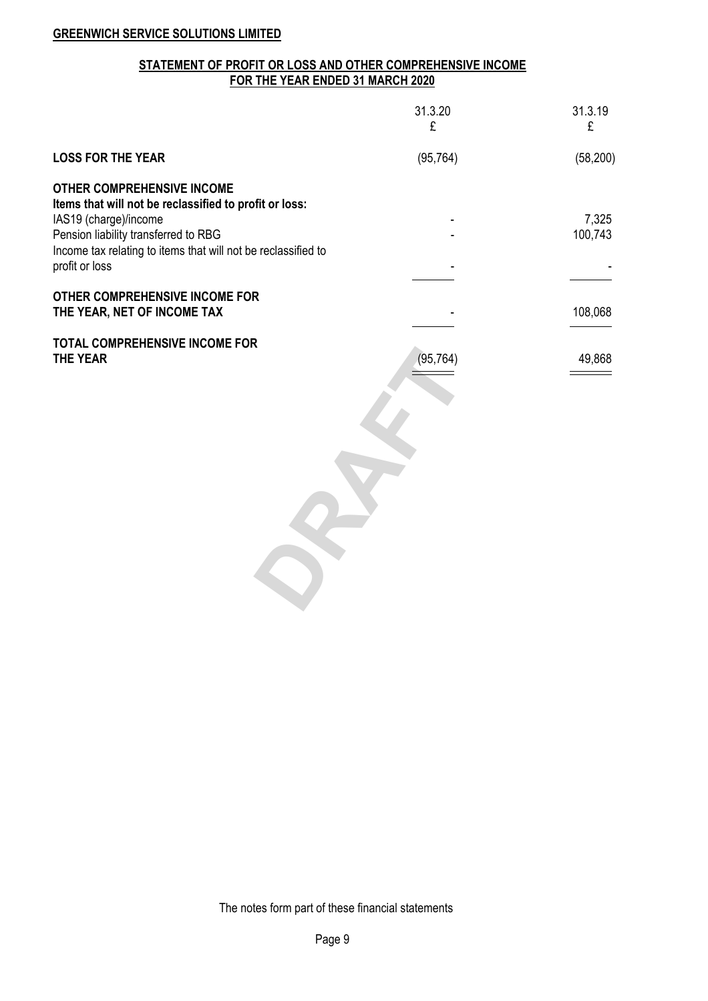# **STATEMENT OF PROFIT OR LOSS AND OTHER COMPREHENSIVE INCOME FOR THE YEAR ENDED 31 MARCH 2020**

| 31.3.20<br>£ | 31.3.19<br>£     |
|--------------|------------------|
| (95, 764)    | (58, 200)        |
|              | 7,325<br>100,743 |
|              | 108,068          |
| (95, 764)    | 49,868           |
|              |                  |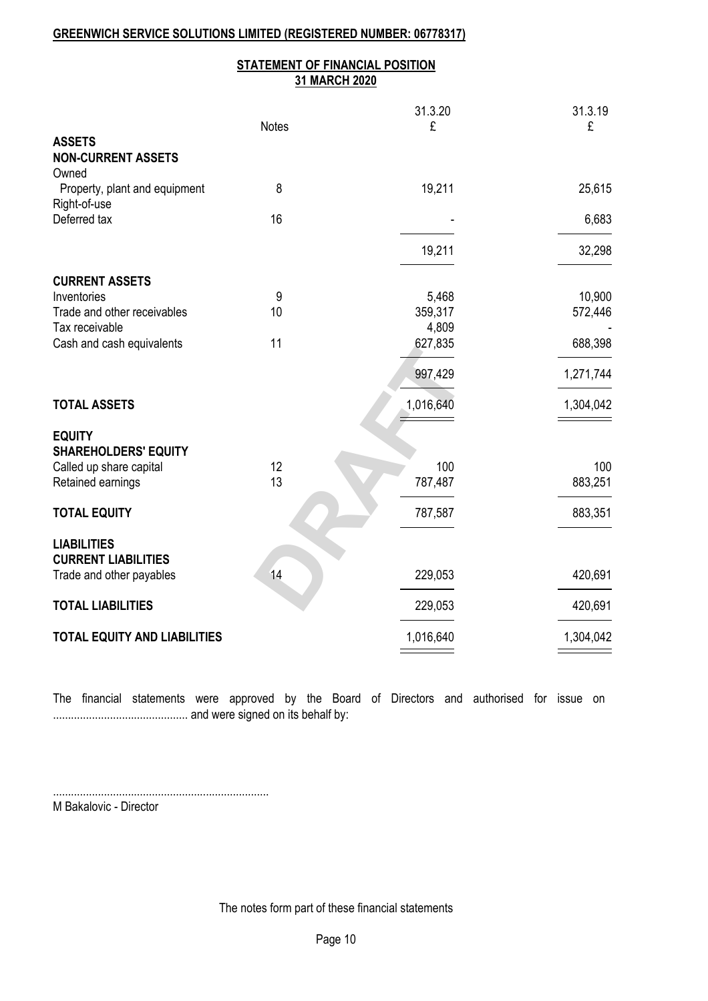# **GREENWICH SERVICE SOLUTIONS LIMITED (REGISTERED NUMBER: 06778317)**

## **STATEMENT OF FINANCIAL POSITION 31 MARCH 2020**

|                                     | <b>Notes</b> | 31.3.20<br>£ | 31.3.19<br>£ |
|-------------------------------------|--------------|--------------|--------------|
| <b>ASSETS</b>                       |              |              |              |
| <b>NON-CURRENT ASSETS</b>           |              |              |              |
| Owned                               |              |              |              |
| Property, plant and equipment       | 8            | 19,211       | 25,615       |
| Right-of-use                        |              |              |              |
| Deferred tax                        | 16           |              | 6,683        |
|                                     |              |              |              |
|                                     |              | 19,211       | 32,298       |
| <b>CURRENT ASSETS</b>               |              |              |              |
| Inventories                         | 9            | 5,468        | 10,900       |
| Trade and other receivables         | 10           | 359,317      | 572,446      |
| Tax receivable                      |              | 4,809        |              |
| Cash and cash equivalents           | 11           | 627,835      | 688,398      |
|                                     |              |              |              |
|                                     |              | 997,429      | 1,271,744    |
| <b>TOTAL ASSETS</b>                 |              | 1,016,640    | 1,304,042    |
| <b>EQUITY</b>                       |              |              |              |
| <b>SHAREHOLDERS' EQUITY</b>         |              |              |              |
| Called up share capital             | 12           | 100          | 100          |
| Retained earnings                   | 13           | 787,487      | 883,251      |
|                                     |              |              |              |
| <b>TOTAL EQUITY</b>                 |              | 787,587      | 883,351      |
| <b>LIABILITIES</b>                  |              |              |              |
| <b>CURRENT LIABILITIES</b>          |              |              |              |
| Trade and other payables            | 14           | 229,053      | 420,691      |
| <b>TOTAL LIABILITIES</b>            |              | 229,053      | 420,691      |
| <b>TOTAL EQUITY AND LIABILITIES</b> |              | 1,016,640    | 1,304,042    |
|                                     |              |              |              |

The financial statements were approved by the Board of Directors and authorised for issue on ............................................. and were signed on its behalf by:

........................................................................ M Bakalovic - Director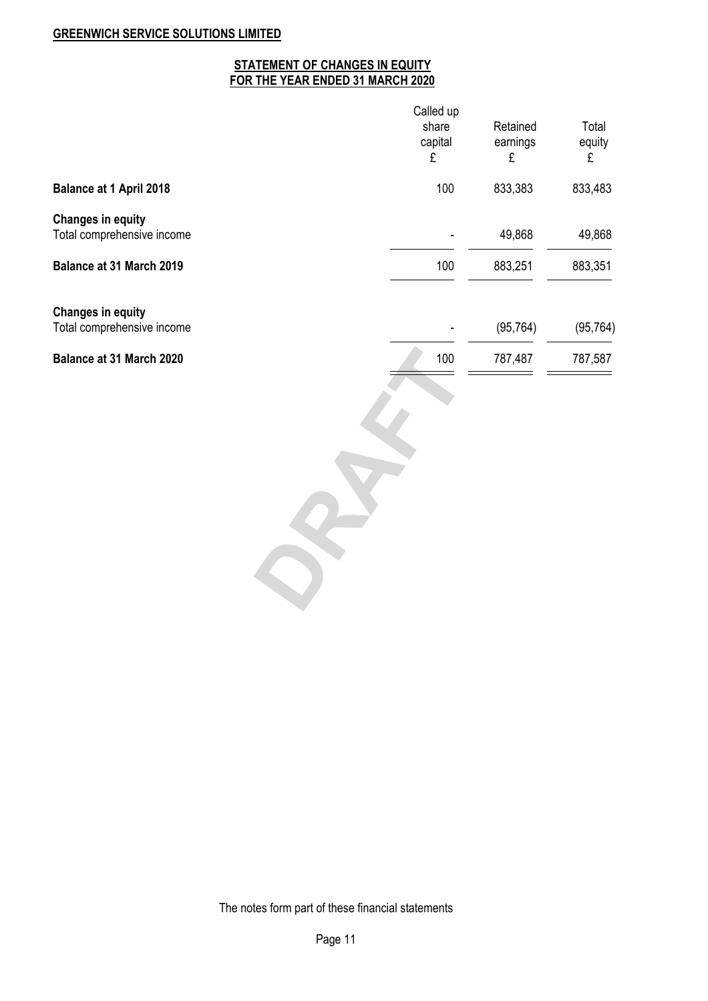# **STATEMENT OF CHANGES IN EQUITY FOR THE YEAR ENDED 31 MARCH 2020**

|                                                        | Called up             |                           |                      |
|--------------------------------------------------------|-----------------------|---------------------------|----------------------|
|                                                        | share<br>capital<br>£ | Retained<br>earnings<br>£ | Total<br>equity<br>£ |
| <b>Balance at 1 April 2018</b>                         | 100                   | 833,383                   | 833,483              |
| <b>Changes in equity</b><br>Total comprehensive income |                       | 49,868                    | 49,868               |
| Balance at 31 March 2019                               | 100                   | 883,251                   | 883,351              |
| <b>Changes in equity</b><br>Total comprehensive income |                       | (95, 764)                 | (95, 764)            |
| Balance at 31 March 2020                               | $100\,$               | 787,487                   | 787,587              |
|                                                        |                       |                           |                      |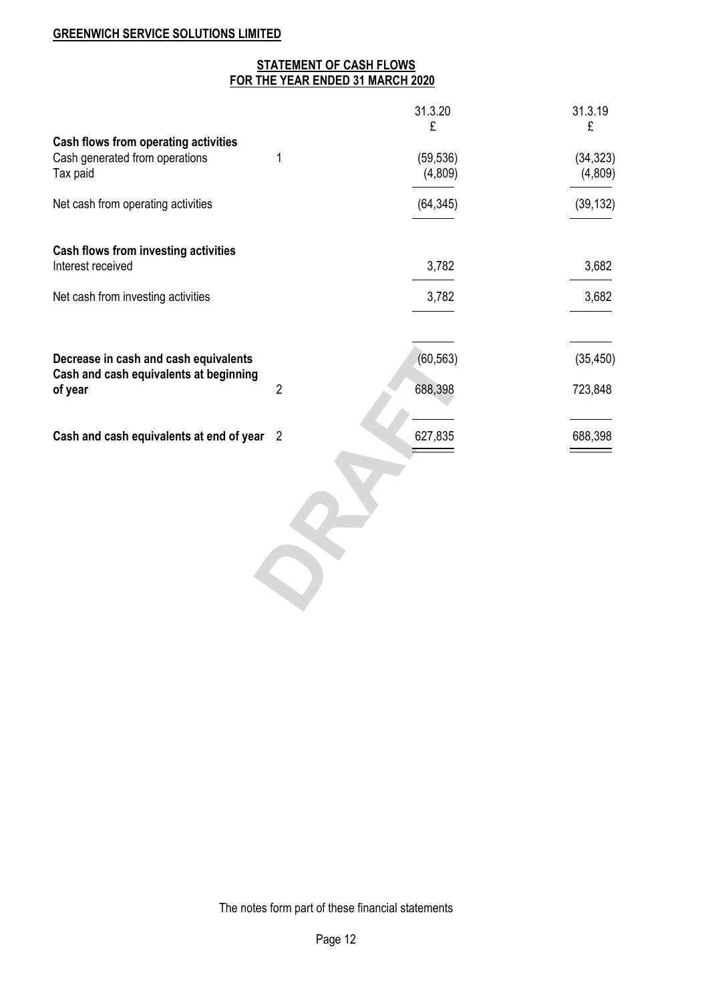# **STATEMENT OF CASH FLOWS FOR THE YEAR ENDED 31 MARCH 2020**

|                                                                                 |                            | 31.3.20<br>£         | 31.3.19<br>£         |
|---------------------------------------------------------------------------------|----------------------------|----------------------|----------------------|
| Cash flows from operating activities                                            |                            |                      |                      |
| Cash generated from operations<br>Tax paid                                      | 1                          | (59, 536)<br>(4,809) | (34, 323)<br>(4,809) |
| Net cash from operating activities                                              |                            | (64, 345)            | (39, 132)            |
| Cash flows from investing activities<br>Interest received                       |                            | 3,782                | 3,682                |
| Net cash from investing activities                                              |                            | 3,782                | 3,682                |
|                                                                                 |                            |                      |                      |
| Decrease in cash and cash equivalents<br>Cash and cash equivalents at beginning |                            | (60, 563)            | (35, 450)            |
| of year                                                                         | $\overline{2}$             | 688,398              | 723,848              |
| Cash and cash equivalents at end of year                                        | $\overline{\phantom{0}}^2$ | 627,835              | 688,398              |
|                                                                                 |                            |                      |                      |
|                                                                                 |                            |                      |                      |
|                                                                                 |                            |                      |                      |
|                                                                                 |                            |                      |                      |
|                                                                                 |                            |                      |                      |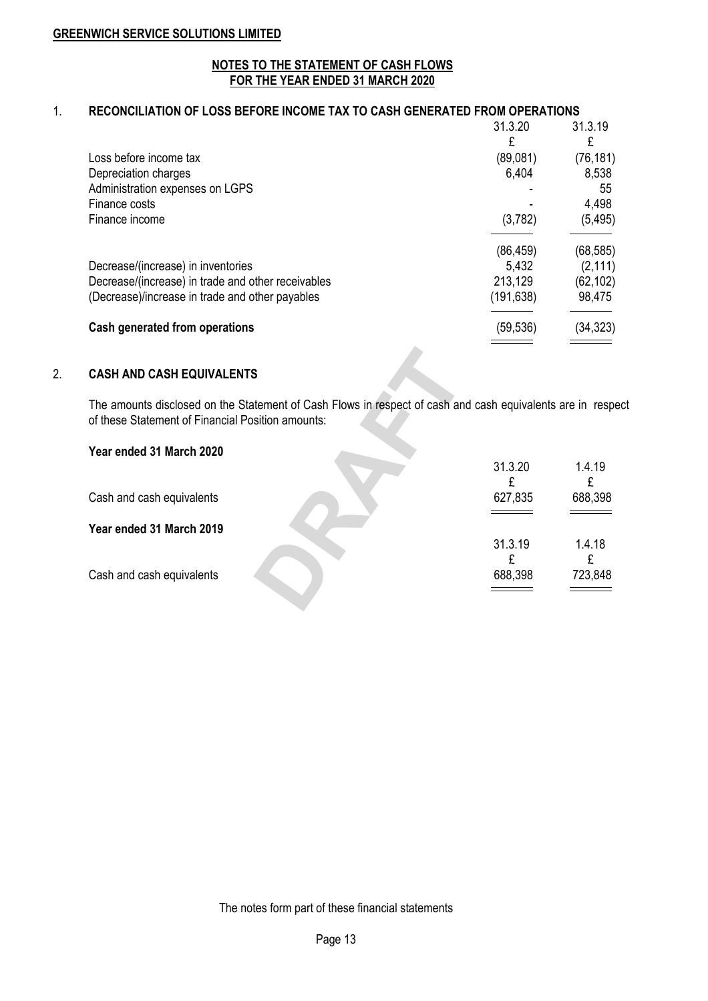# **NOTES TO THE STATEMENT OF CASH FLOWS FOR THE YEAR ENDED 31 MARCH 2020**

## 1. **RECONCILIATION OF LOSS BEFORE INCOME TAX TO CASH GENERATED FROM OPERATIONS**

|                                                    | 31.3.20    | 31.3.19   |
|----------------------------------------------------|------------|-----------|
|                                                    | £          |           |
| Loss before income tax                             | (89,081)   | (76, 181) |
| Depreciation charges                               | 6,404      | 8,538     |
| Administration expenses on LGPS                    |            | 55        |
| Finance costs                                      |            | 4,498     |
| Finance income                                     | (3,782)    | (5, 495)  |
|                                                    | (86, 459)  | (68, 585) |
| Decrease/(increase) in inventories                 | 5,432      | (2, 111)  |
| Decrease/(increase) in trade and other receivables | 213,129    | (62, 102) |
| (Decrease)/increase in trade and other payables    | (191, 638) | 98,475    |
| Cash generated from operations                     | (59,536)   | (34, 323) |
|                                                    |            |           |

# 2. **CASH AND CASH EQUIVALENTS**

| <b>CASH AND CASH EQUIVALENTS</b>                                                                                                                              |                         |                        |
|---------------------------------------------------------------------------------------------------------------------------------------------------------------|-------------------------|------------------------|
| The amounts disclosed on the Statement of Cash Flows in respect of cash and cash equivalents are in resp<br>of these Statement of Financial Position amounts: |                         |                        |
| Year ended 31 March 2020                                                                                                                                      | 31.3.20<br>£            | 1.4.19<br>£            |
| Cash and cash equivalents                                                                                                                                     | 627,835                 | 688,398                |
| Year ended 31 March 2019                                                                                                                                      |                         |                        |
| Cash and cash equivalents                                                                                                                                     | 31.3.19<br>£<br>688,398 | 1.4.18<br>£<br>723,848 |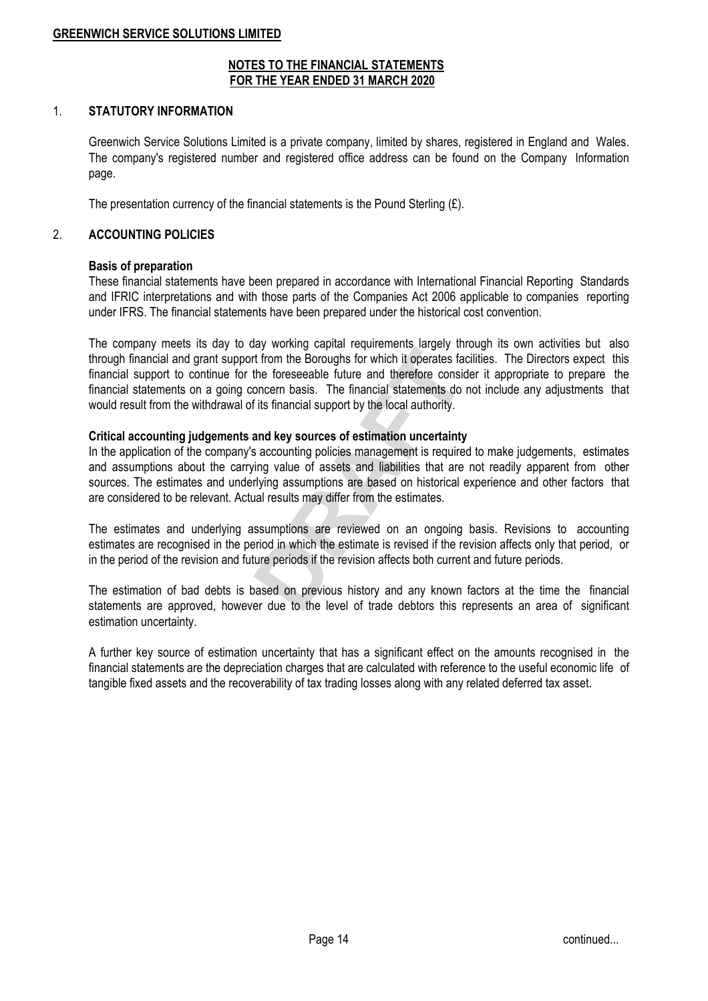### **NOTES TO THE FINANCIAL STATEMENTS FOR THE YEAR ENDED 31 MARCH 2020**

## 1. **STATUTORY INFORMATION**

Greenwich Service Solutions Limited is a private company, limited by shares, registered in England and Wales. The company's registered number and registered office address can be found on the Company Information page.

The presentation currency of the financial statements is the Pound Sterling (£).

# 2. **ACCOUNTING POLICIES**

## **Basis of preparation**

These financial statements have been prepared in accordance with International Financial Reporting Standards and IFRIC interpretations and with those parts of the Companies Act 2006 applicable to companies reporting under IFRS. The financial statements have been prepared under the historical cost convention.

If from the Boroughs for which it operates facilitie<br>the foreseeable future and therefore consider it<br>oncern basis. The financial statements do not if<br>its financial support by the local authority.<br>and key sources of estima The company meets its day to day working capital requirements largely through its own activities but also through financial and grant support from the Boroughs for which it operates facilities. The Directors expect this financial support to continue for the foreseeable future and therefore consider it appropriate to prepare the financial statements on a going concern basis. The financial statements do not include any adjustments that would result from the withdrawal of its financial support by the local authority.

## **Critical accounting judgements and key sources of estimation uncertainty**

In the application of the company's accounting policies management is required to make judgements, estimates and assumptions about the carrying value of assets and liabilities that are not readily apparent from other sources. The estimates and underlying assumptions are based on historical experience and other factors that are considered to be relevant. Actual results may differ from the estimates.

The estimates and underlying assumptions are reviewed on an ongoing basis. Revisions to accounting estimates are recognised in the period in which the estimate is revised if the revision affects only that period, or in the period of the revision and future periods if the revision affects both current and future periods.

The estimation of bad debts is based on previous history and any known factors at the time the financial statements are approved, however due to the level of trade debtors this represents an area of significant estimation uncertainty.

A further key source of estimation uncertainty that has a significant effect on the amounts recognised in the financial statements are the depreciation charges that are calculated with reference to the useful economic life of tangible fixed assets and the recoverability of tax trading losses along with any related deferred tax asset.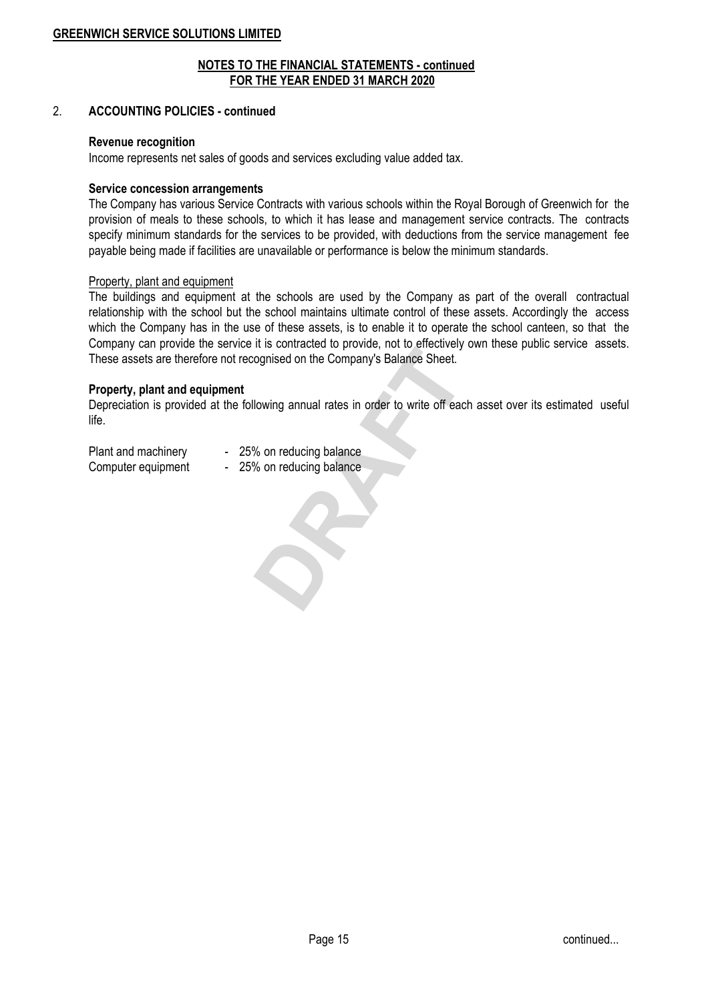## 2. **ACCOUNTING POLICIES - continued**

### **Revenue recognition**

Income represents net sales of goods and services excluding value added tax.

### **Service concession arrangements**

The Company has various Service Contracts with various schools within the Royal Borough of Greenwich for the provision of meals to these schools, to which it has lease and management service contracts. The contracts specify minimum standards for the services to be provided, with deductions from the service management fee payable being made if facilities are unavailable or performance is below the minimum standards.

#### Property, plant and equipment

The buildings and equipment at the schools are used by the Company as part of the overall contractual relationship with the school but the school maintains ultimate control of these assets. Accordingly the access which the Company has in the use of these assets, is to enable it to operate the school canteen, so that the Company can provide the service it is contracted to provide, not to effectively own these public service assets. These assets are therefore not recognised on the Company's Balance Sheet.

#### **Property, plant and equipment**

de la solutación de provide, not la subserver, comparador de la solutación de la Selation de la Selation de la solution de la solution de la solution de la solution de la solution de la solution de la solution de la soluti Depreciation is provided at the following annual rates in order to write off each asset over its estimated useful life.

| Plant and machinery | 25% on reducing balance |
|---------------------|-------------------------|
| Computer equipment  | 25% on reducing balance |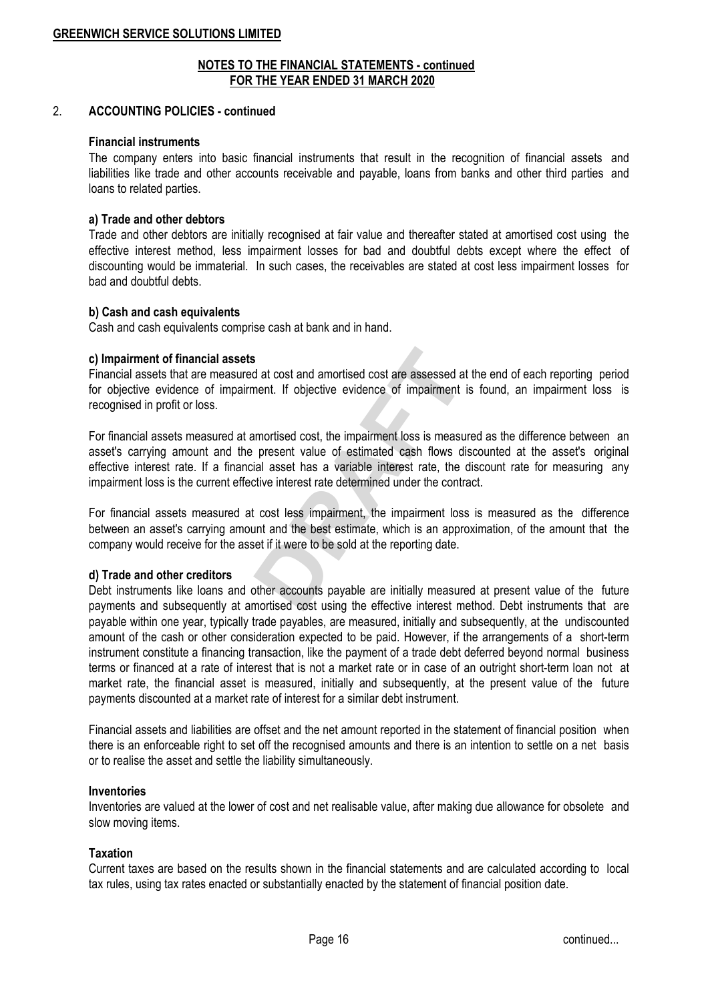## 2. **ACCOUNTING POLICIES - continued**

### **Financial instruments**

The company enters into basic financial instruments that result in the recognition of financial assets and liabilities like trade and other accounts receivable and payable, loans from banks and other third parties and loans to related parties.

### **a) Trade and other debtors**

Trade and other debtors are initially recognised at fair value and thereafter stated at amortised cost using the effective interest method, less impairment losses for bad and doubtful debts except where the effect of discounting would be immaterial. In such cases, the receivables are stated at cost less impairment losses for bad and doubtful debts.

### **b) Cash and cash equivalents**

Cash and cash equivalents comprise cash at bank and in hand.

### **c) Impairment of financial assets**

Financial assets that are measured at cost and amortised cost are assessed at the end of each reporting period for objective evidence of impairment. If objective evidence of impairment is found, an impairment loss is recognised in profit or loss.

**S** at cost and amortised cost are assessed at the<br>nent. If objective evidence of impairment is for<br>amortised cost, the impairment loss is measured a<br>present value of estimated cash flows discou<br>ial asset has a variable in For financial assets measured at amortised cost, the impairment loss is measured as the difference between an asset's carrying amount and the present value of estimated cash flows discounted at the asset's original effective interest rate. If a financial asset has a variable interest rate, the discount rate for measuring any impairment loss is the current effective interest rate determined under the contract.

For financial assets measured at cost less impairment, the impairment loss is measured as the difference between an asset's carrying amount and the best estimate, which is an approximation, of the amount that the company would receive for the asset if it were to be sold at the reporting date.

### **d) Trade and other creditors**

Debt instruments like loans and other accounts payable are initially measured at present value of the future payments and subsequently at amortised cost using the effective interest method. Debt instruments that are payable within one year, typically trade payables, are measured, initially and subsequently, at the undiscounted amount of the cash or other consideration expected to be paid. However, if the arrangements of a short-term instrument constitute a financing transaction, like the payment of a trade debt deferred beyond normal business terms or financed at a rate of interest that is not a market rate or in case of an outright short-term loan not at market rate, the financial asset is measured, initially and subsequently, at the present value of the future payments discounted at a market rate of interest for a similar debt instrument.

Financial assets and liabilities are offset and the net amount reported in the statement of financial position when there is an enforceable right to set off the recognised amounts and there is an intention to settle on a net basis or to realise the asset and settle the liability simultaneously.

### **Inventories**

Inventories are valued at the lower of cost and net realisable value, after making due allowance for obsolete and slow moving items.

### **Taxation**

Current taxes are based on the results shown in the financial statements and are calculated according to local tax rules, using tax rates enacted or substantially enacted by the statement of financial position date.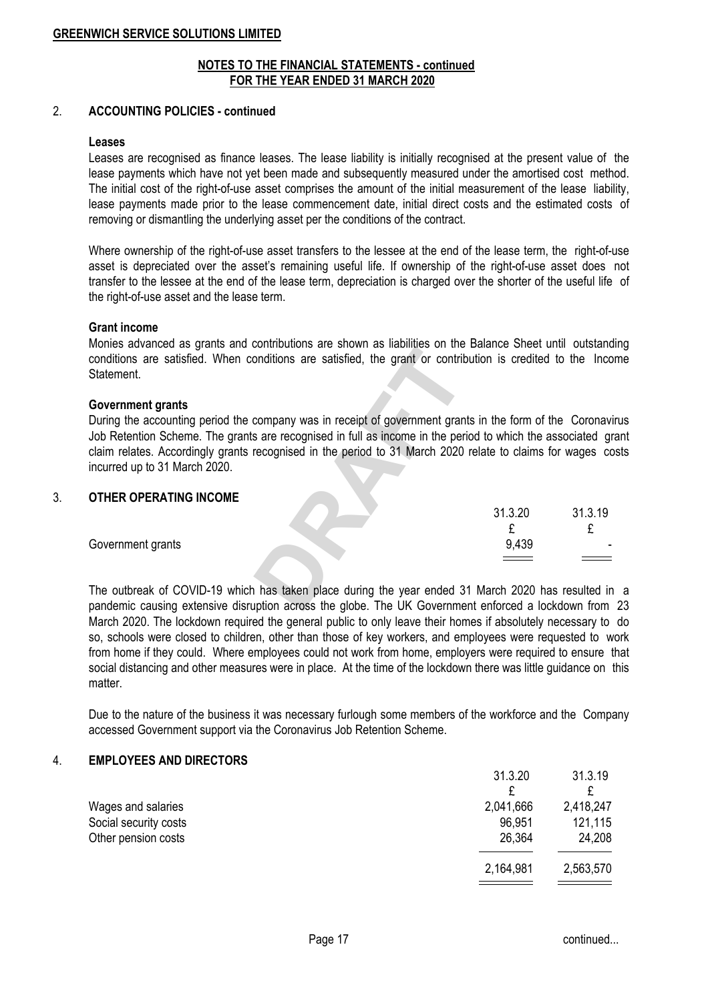## 2. **ACCOUNTING POLICIES - continued**

### **Leases**

Leases are recognised as finance leases. The lease liability is initially recognised at the present value of the lease payments which have not yet been made and subsequently measured under the amortised cost method. The initial cost of the right-of-use asset comprises the amount of the initial measurement of the lease liability, lease payments made prior to the lease commencement date, initial direct costs and the estimated costs of removing or dismantling the underlying asset per the conditions of the contract.

Where ownership of the right-of-use asset transfers to the lessee at the end of the lease term, the right-of-use asset is depreciated over the asset's remaining useful life. If ownership of the right-of-use asset does not transfer to the lessee at the end of the lease term, depreciation is charged over the shorter of the useful life of the right-of-use asset and the lease term.

### **Grant income**

Monies advanced as grants and contributions are shown as liabilities on the Balance Sheet until outstanding conditions are satisfied. When conditions are satisfied, the grant or contribution is credited to the Income **Statement** 

#### **Government grants**

company was in receipt of government grants in<br>company was in receipt of government grants in<br>s are recognised in full as income in the period to<br>recognised in the period to 31 March 2020 relat<br>recognised in the period to During the accounting period the company was in receipt of government grants in the form of the Coronavirus Job Retention Scheme. The grants are recognised in full as income in the period to which the associated grant claim relates. Accordingly grants recognised in the period to 31 March 2020 relate to claims for wages costs incurred up to 31 March 2020.

### 3. **OTHER OPERATING INCOME**

|                   | 31.3.20 | 31.3.19 |
|-------------------|---------|---------|
|                   |         | -       |
| Government grants | 9,439   | ٠       |
|                   |         |         |

The outbreak of COVID-19 which has taken place during the year ended 31 March 2020 has resulted in a pandemic causing extensive disruption across the globe. The UK Government enforced a lockdown from 23 March 2020. The lockdown required the general public to only leave their homes if absolutely necessary to do so, schools were closed to children, other than those of key workers, and employees were requested to work from home if they could. Where employees could not work from home, employers were required to ensure that social distancing and other measures were in place. At the time of the lockdown there was little guidance on this matter.

Due to the nature of the business it was necessary furlough some members of the workforce and the Company accessed Government support via the Coronavirus Job Retention Scheme.

# 4. **EMPLOYEES AND DIRECTORS**

|                       | 31.3.20   | 31.3.19   |
|-----------------------|-----------|-----------|
|                       |           |           |
| Wages and salaries    | 2,041,666 | 2,418,247 |
| Social security costs | 96,951    | 121,115   |
| Other pension costs   | 26,364    | 24,208    |
|                       | 2,164,981 | 2,563,570 |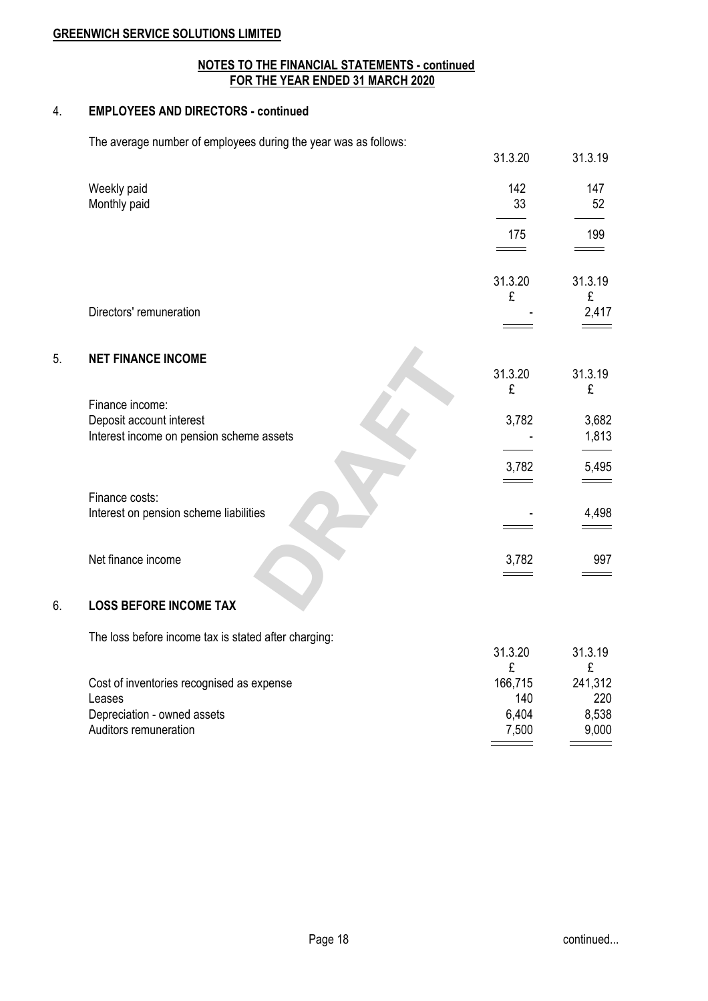# **NOTES TO THE FINANCIAL STATEMENTS - continued FOR THE YEAR ENDED 31 MARCH 2020**

# 4. **EMPLOYEES AND DIRECTORS - continued**

The average number of employees during the year was as follows:

|    |                                                      | 31.3.20      | 31.3.19      |
|----|------------------------------------------------------|--------------|--------------|
|    | Weekly paid                                          | 142          | 147          |
|    | Monthly paid                                         | 33           | 52           |
|    |                                                      | 175          | 199          |
|    |                                                      |              |              |
|    |                                                      | 31.3.20      | 31.3.19      |
|    |                                                      | £            | £            |
|    | Directors' remuneration                              |              | 2,417        |
| 5. | <b>NET FINANCE INCOME</b>                            |              |              |
|    |                                                      | 31.3.20      | 31.3.19      |
|    | Finance income:                                      | £            | £            |
|    | Deposit account interest                             | 3,782        | 3,682        |
|    | Interest income on pension scheme assets             |              | 1,813        |
|    |                                                      |              |              |
|    |                                                      | 3,782        | 5,495        |
|    | Finance costs:                                       |              |              |
|    | Interest on pension scheme liabilities               |              | 4,498        |
|    | Net finance income                                   | 3,782        | 997          |
|    |                                                      |              |              |
| 6. | <b>LOSS BEFORE INCOME TAX</b>                        |              |              |
|    | The loss before income tax is stated after charging: |              |              |
|    |                                                      | 31.3.20      | 31.3.19      |
|    | Cost of inventories recognised as expense            | £<br>166,715 | £<br>241,312 |
|    | Leases                                               | 140          | 220          |
|    | Depreciation - owned assets                          | 6,404        | 8,538        |
|    | Auditors remuneration                                | 7,500        | 9,000        |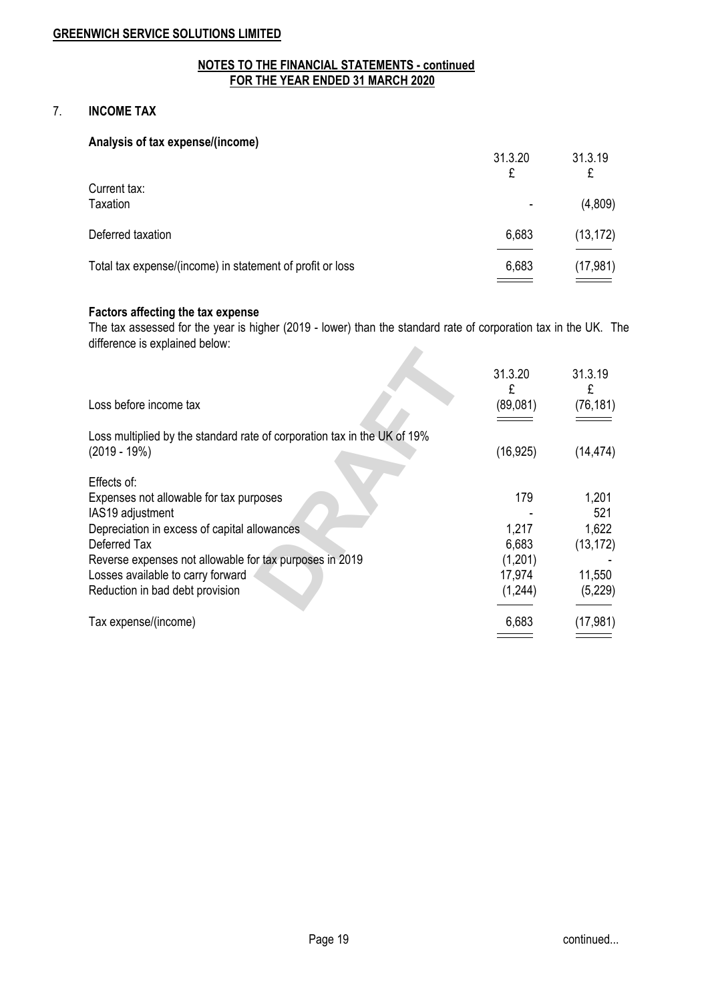# 7. **INCOME TAX**

# **Analysis of tax expense/(income)**

|                                                           | 31.3.20<br>£ | 31.3.19   |
|-----------------------------------------------------------|--------------|-----------|
| Current tax:<br>Taxation                                  | ٠            | (4,809)   |
| Deferred taxation                                         | 6,683        | (13, 172) |
| Total tax expense/(income) in statement of profit or loss | 6,683        | (17, 981) |

### **Factors affecting the tax expense**

The tax assessed for the year is higher (2019 - lower) than the standard rate of corporation tax in the UK. The difference is explained below:

|                                                                          | 31.3.20<br>£ | 31.3.19<br>£ |
|--------------------------------------------------------------------------|--------------|--------------|
| Loss before income tax                                                   | (89,081)     | (76, 181)    |
| Loss multiplied by the standard rate of corporation tax in the UK of 19% |              |              |
| $(2019 - 19%)$                                                           | (16, 925)    | (14, 474)    |
| Effects of:                                                              |              |              |
| Expenses not allowable for tax purposes                                  | 179          | 1,201        |
| IAS19 adjustment                                                         |              | 521          |
| Depreciation in excess of capital allowances                             | 1,217        | 1,622        |
| Deferred Tax                                                             | 6,683        | (13, 172)    |
| Reverse expenses not allowable for tax purposes in 2019                  | (1,201)      |              |
| Losses available to carry forward                                        | 17,974       | 11,550       |
| Reduction in bad debt provision                                          | (1,244)      | (5,229)      |
| Tax expense/(income)                                                     | 6,683        | (17, 981)    |
|                                                                          |              |              |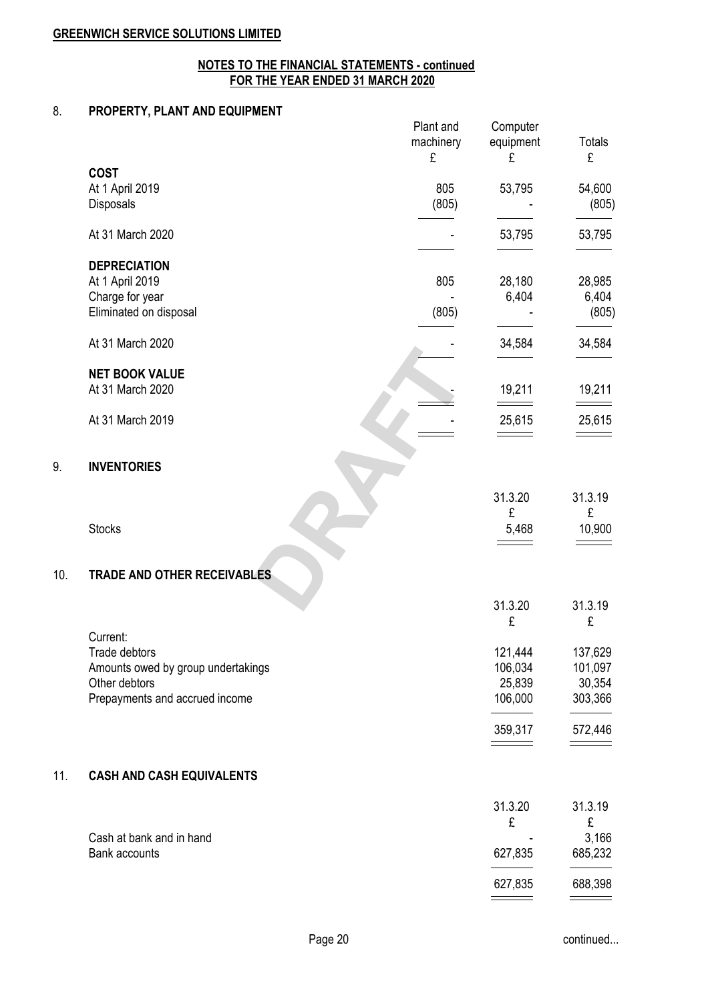# **NOTES TO THE FINANCIAL STATEMENTS - continued FOR THE YEAR ENDED 31 MARCH 2020**

# 8. **PROPERTY, PLANT AND EQUIPMENT**

|     |                                           | Plant and<br>machinery<br>£ | Computer<br>equipment<br>£ | <b>Totals</b><br>£ |
|-----|-------------------------------------------|-----------------------------|----------------------------|--------------------|
|     | <b>COST</b>                               |                             |                            |                    |
|     | At 1 April 2019                           | 805                         | 53,795                     | 54,600             |
|     | Disposals                                 | (805)                       |                            | (805)              |
|     | At 31 March 2020                          |                             | 53,795                     | 53,795             |
|     | <b>DEPRECIATION</b>                       |                             |                            |                    |
|     | At 1 April 2019                           | 805                         | 28,180                     | 28,985             |
|     | Charge for year                           |                             | 6,404                      | 6,404              |
|     | Eliminated on disposal                    | (805)                       |                            | (805)              |
|     | At 31 March 2020                          |                             | 34,584                     | 34,584             |
|     | <b>NET BOOK VALUE</b>                     |                             |                            |                    |
|     | At 31 March 2020                          |                             | 19,211                     | 19,211             |
|     | At 31 March 2019                          |                             | 25,615                     | 25,615             |
|     |                                           |                             |                            |                    |
| 9.  | <b>INVENTORIES</b>                        |                             |                            |                    |
|     |                                           |                             | 31.3.20                    | 31.3.19            |
|     | <b>Stocks</b>                             |                             | £<br>5,468                 | £<br>10,900        |
|     |                                           |                             |                            |                    |
| 10. | <b>TRADE AND OTHER RECEIVABLES</b>        |                             |                            |                    |
|     |                                           |                             | 31.3.20                    | 31.3.19            |
|     |                                           |                             | £                          | £                  |
|     | Current:<br>Trade debtors                 |                             | 121,444                    | 137,629            |
|     | Amounts owed by group undertakings        |                             | 106,034                    | 101,097            |
|     | Other debtors                             |                             | 25,839                     | 30,354             |
|     | Prepayments and accrued income            |                             | 106,000                    | 303,366            |
|     |                                           |                             | 359,317                    | 572,446            |
|     |                                           |                             |                            |                    |
| 11. | <b>CASH AND CASH EQUIVALENTS</b>          |                             |                            |                    |
|     |                                           |                             | 31.3.20                    | 31.3.19            |
|     |                                           |                             | £                          | £                  |
|     | Cash at bank and in hand<br>Bank accounts |                             | 627,835                    | 3,166<br>685,232   |
|     |                                           |                             |                            |                    |
|     |                                           |                             | 627,835                    | 688,398            |
|     |                                           |                             |                            |                    |

Page 20 continued...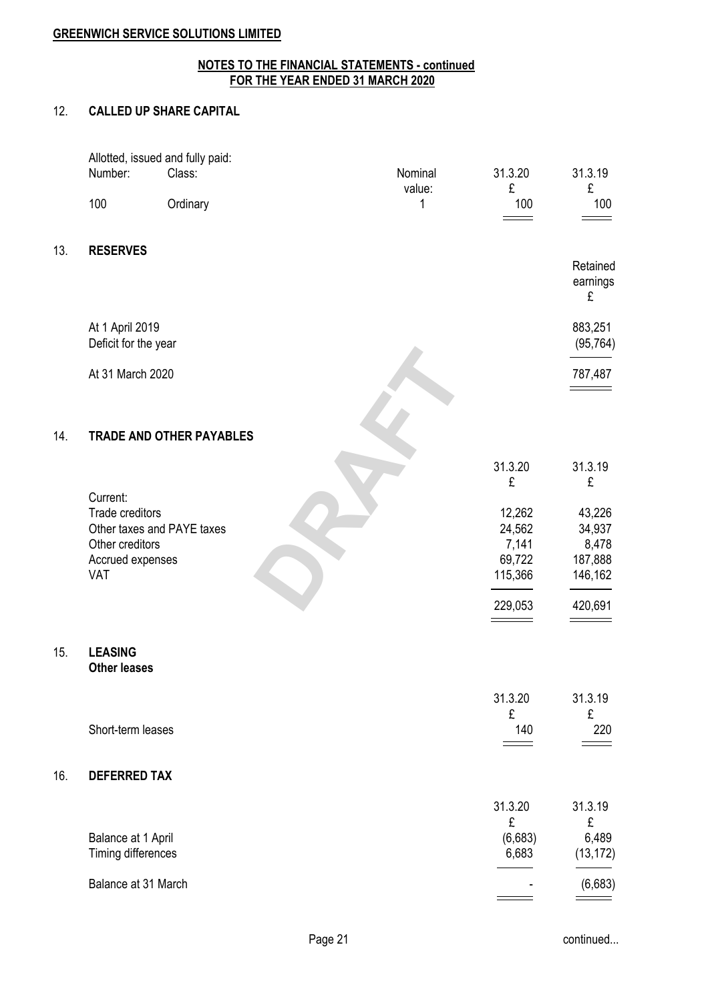# **NOTES TO THE FINANCIAL STATEMENTS - continued FOR THE YEAR ENDED 31 MARCH 2020**

# 12. **CALLED UP SHARE CAPITAL**

|     |                                     | Allotted, issued and fully paid: |         |                 |                  |
|-----|-------------------------------------|----------------------------------|---------|-----------------|------------------|
|     | Number:                             | Class:                           | Nominal | 31.3.20         | 31.3.19          |
|     |                                     |                                  | value:  | £               | £                |
|     | 100                                 | Ordinary                         | 1       | 100             | 100              |
|     |                                     |                                  |         |                 |                  |
| 13. | <b>RESERVES</b>                     |                                  |         |                 |                  |
|     |                                     |                                  |         |                 | Retained         |
|     |                                     |                                  |         |                 | earnings<br>£    |
|     |                                     |                                  |         |                 |                  |
|     | At 1 April 2019                     |                                  |         |                 | 883,251          |
|     | Deficit for the year                |                                  |         |                 | (95, 764)        |
|     | At 31 March 2020                    |                                  |         |                 |                  |
|     |                                     |                                  |         |                 | 787,487          |
|     |                                     |                                  |         |                 |                  |
|     |                                     |                                  |         |                 |                  |
| 14. |                                     | <b>TRADE AND OTHER PAYABLES</b>  |         |                 |                  |
|     |                                     |                                  |         | 31.3.20         | 31.3.19          |
|     |                                     |                                  |         | £               | £                |
|     | Current:                            |                                  |         |                 |                  |
|     | Trade creditors                     |                                  |         | 12,262          | 43,226           |
|     |                                     | Other taxes and PAYE taxes       |         | 24,562          | 34,937           |
|     | Other creditors<br>Accrued expenses |                                  |         | 7,141<br>69,722 | 8,478<br>187,888 |
|     | <b>VAT</b>                          |                                  |         | 115,366         | 146,162          |
|     |                                     |                                  |         |                 |                  |
|     |                                     |                                  |         | 229,053         | 420,691          |
|     |                                     |                                  |         |                 |                  |
| 15. | <b>LEASING</b>                      |                                  |         |                 |                  |
|     | <b>Other leases</b>                 |                                  |         |                 |                  |
|     |                                     |                                  |         |                 |                  |
|     |                                     |                                  |         | 31.3.20         | 31.3.19          |
|     | Short-term leases                   |                                  |         | £<br>140        | £<br>220         |
|     |                                     |                                  |         |                 |                  |
|     |                                     |                                  |         |                 |                  |
| 16. | <b>DEFERRED TAX</b>                 |                                  |         |                 |                  |
|     |                                     |                                  |         |                 |                  |
|     |                                     |                                  |         | 31.3.20<br>£    | 31.3.19<br>£     |
|     | Balance at 1 April                  |                                  |         | (6,683)         | 6,489            |
|     | Timing differences                  |                                  |         | 6,683           | (13, 172)        |
|     |                                     |                                  |         |                 |                  |
|     | Balance at 31 March                 |                                  |         |                 | (6,683)          |

Page 21 continued...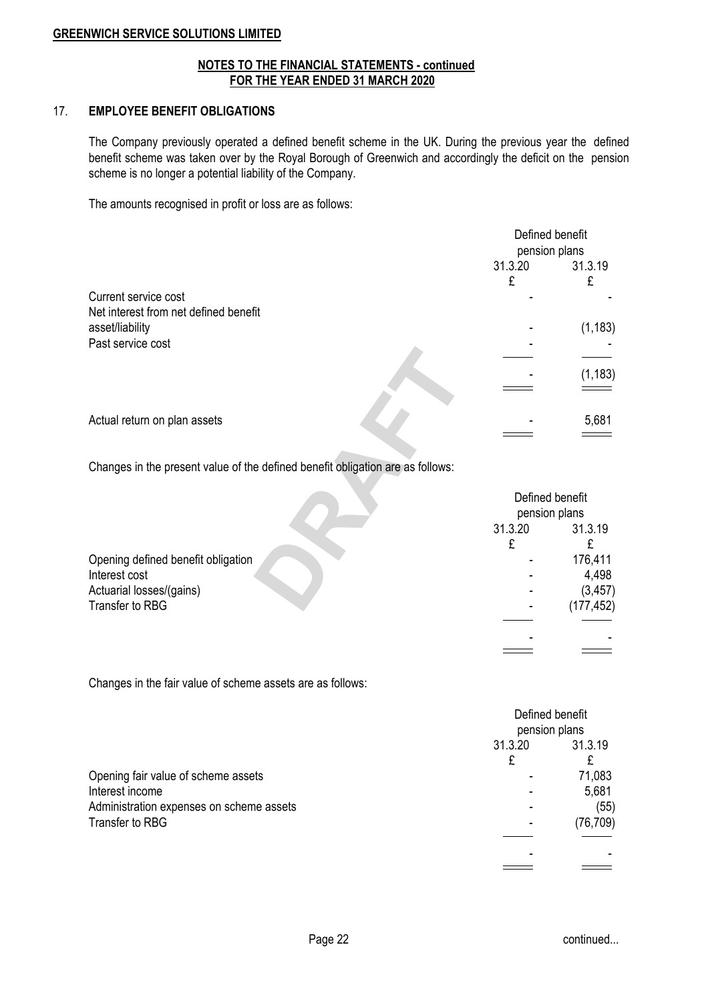### **NOTES TO THE FINANCIAL STATEMENTS - continued FOR THE YEAR ENDED 31 MARCH 2020**

## 17. **EMPLOYEE BENEFIT OBLIGATIONS**

The Company previously operated a defined benefit scheme in the UK. During the previous year the defined benefit scheme was taken over by the Royal Borough of Greenwich and accordingly the deficit on the pension scheme is no longer a potential liability of the Company.

The amounts recognised in profit or loss are as follows:

|                                                               | Defined benefit<br>pension plans |          |
|---------------------------------------------------------------|----------------------------------|----------|
|                                                               | 31.3.20                          | 31.3.19  |
| Current service cost<br>Net interest from net defined benefit |                                  |          |
| asset/liability<br>Past service cost                          |                                  | (1, 183) |
|                                                               |                                  | (1, 183) |
| Actual return on plan assets                                  |                                  | 5,681    |

|                                                                                |         | (1, 183)                         |
|--------------------------------------------------------------------------------|---------|----------------------------------|
| Actual return on plan assets                                                   |         | 5,681                            |
| Changes in the present value of the defined benefit obligation are as follows: |         |                                  |
|                                                                                |         | Defined benefit<br>pension plans |
|                                                                                | 31.3.20 | 31.3.19                          |
|                                                                                | £       | £                                |
| Opening defined benefit obligation                                             |         | 176,411                          |
| Interest cost                                                                  |         | 4,498                            |
| Actuarial losses/(gains)                                                       |         | (3, 457)                         |
| Transfer to RBG                                                                |         | (177, 452)                       |
|                                                                                |         |                                  |

Changes in the fair value of scheme assets are as follows:

|                                          | Defined benefit |           |
|------------------------------------------|-----------------|-----------|
|                                          | pension plans   |           |
|                                          | 31.3.20         | 31.3.19   |
|                                          |                 |           |
| Opening fair value of scheme assets      |                 | 71,083    |
| Interest income                          |                 | 5,681     |
| Administration expenses on scheme assets |                 | (55)      |
| Transfer to RBG                          |                 | (76, 709) |
|                                          |                 |           |
|                                          |                 |           |

 $\overline{\phantom{0}}$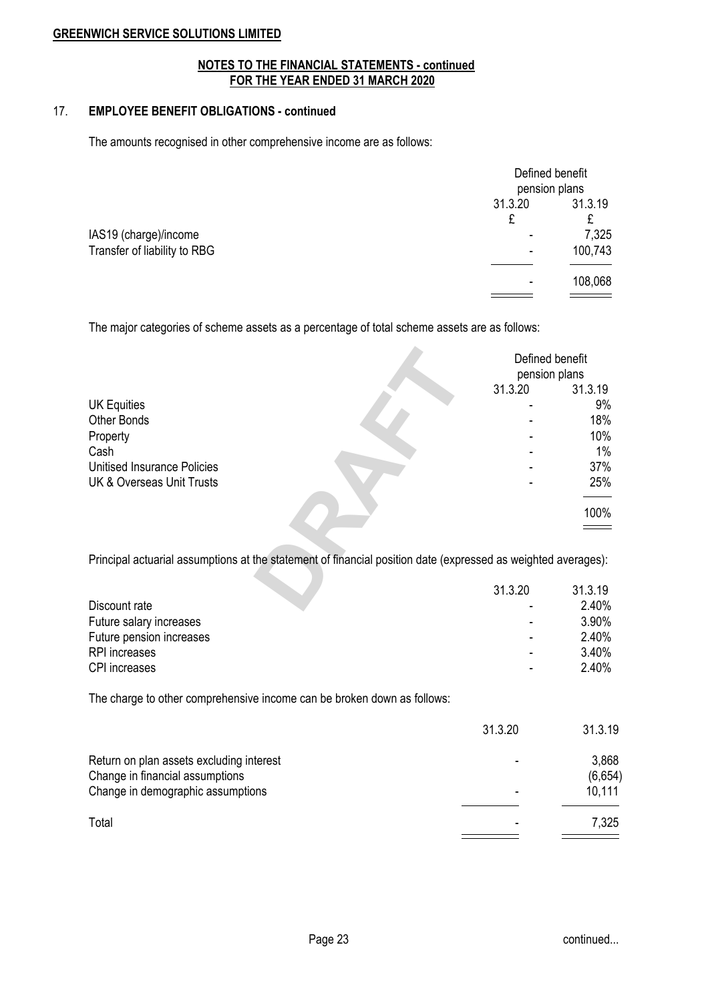# **NOTES TO THE FINANCIAL STATEMENTS - continued FOR THE YEAR ENDED 31 MARCH 2020**

# 17. **EMPLOYEE BENEFIT OBLIGATIONS - continued**

The amounts recognised in other comprehensive income are as follows:

|                                                       | Defined benefit<br>pension plans |         |
|-------------------------------------------------------|----------------------------------|---------|
|                                                       | 31.3.20                          | 31.3.19 |
| IAS19 (charge)/income<br>Transfer of liability to RBG | £                                | £       |
|                                                       |                                  | 7,325   |
|                                                       | $\overline{\phantom{0}}$         | 100,743 |
|                                                       |                                  |         |
|                                                       |                                  | 108,068 |
|                                                       |                                  |         |

The major categories of scheme assets as a percentage of total scheme assets are as follows:

|                                                                                                               |         | Defined benefit<br>pension plans |
|---------------------------------------------------------------------------------------------------------------|---------|----------------------------------|
|                                                                                                               | 31.3.20 | 31.3.19                          |
| <b>UK Equities</b>                                                                                            |         | 9%                               |
| <b>Other Bonds</b>                                                                                            |         | 18%                              |
| Property                                                                                                      |         | 10%                              |
| Cash                                                                                                          |         | 1%                               |
| <b>Unitised Insurance Policies</b>                                                                            |         | 37%                              |
| <b>UK &amp; Overseas Unit Trusts</b>                                                                          |         | 25%                              |
|                                                                                                               |         | 100%                             |
| Principal actuarial assumptions at the statement of financial position date (expressed as weighted averages): |         |                                  |
|                                                                                                               | 31.3.20 | 31.3.19                          |
| Discount rate                                                                                                 |         | 2.40%                            |

|                          | 31.3.20                  | 31.3.19 |
|--------------------------|--------------------------|---------|
| Discount rate            |                          | 2.40%   |
| Future salary increases  | $\overline{\phantom{0}}$ | 3.90%   |
| Future pension increases |                          | 2.40%   |
| RPI increases            |                          | 3.40%   |
| CPI increases            |                          | 2.40%   |

The charge to other comprehensive income can be broken down as follows:

|                                                                             | 31.3.20 | 31.3.19          |
|-----------------------------------------------------------------------------|---------|------------------|
| Return on plan assets excluding interest<br>Change in financial assumptions |         | 3,868<br>(6,654) |
| Change in demographic assumptions                                           |         | 10,111           |
| Total                                                                       |         | 7,325            |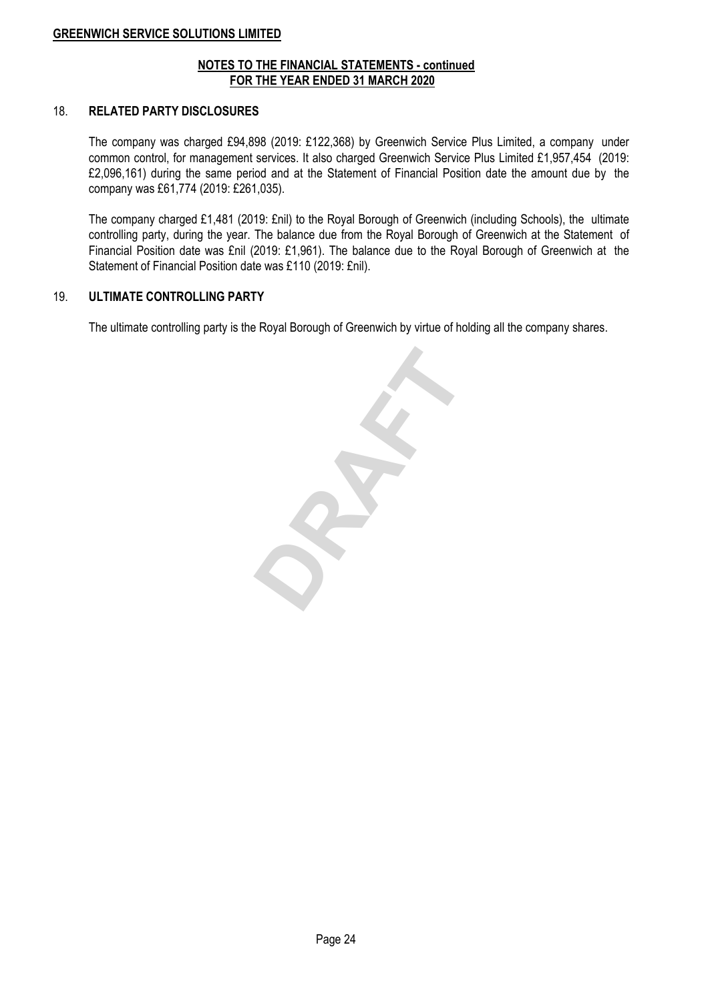### **NOTES TO THE FINANCIAL STATEMENTS - continued FOR THE YEAR ENDED 31 MARCH 2020**

# 18. **RELATED PARTY DISCLOSURES**

The company was charged £94,898 (2019: £122,368) by Greenwich Service Plus Limited, a company under common control, for management services. It also charged Greenwich Service Plus Limited £1,957,454 (2019: £2,096,161) during the same period and at the Statement of Financial Position date the amount due by the company was £61,774 (2019: £261,035).

The company charged £1,481 (2019: £nil) to the Royal Borough of Greenwich (including Schools), the ultimate controlling party, during the year. The balance due from the Royal Borough of Greenwich at the Statement of Financial Position date was £nil (2019: £1,961). The balance due to the Royal Borough of Greenwich at the Statement of Financial Position date was £110 (2019: £nil).

### 19. **ULTIMATE CONTROLLING PARTY**

The ultimate controlling party is the Royal Borough of Greenwich by virtue of holding all the company shares.

**DRAFT** 

Page 24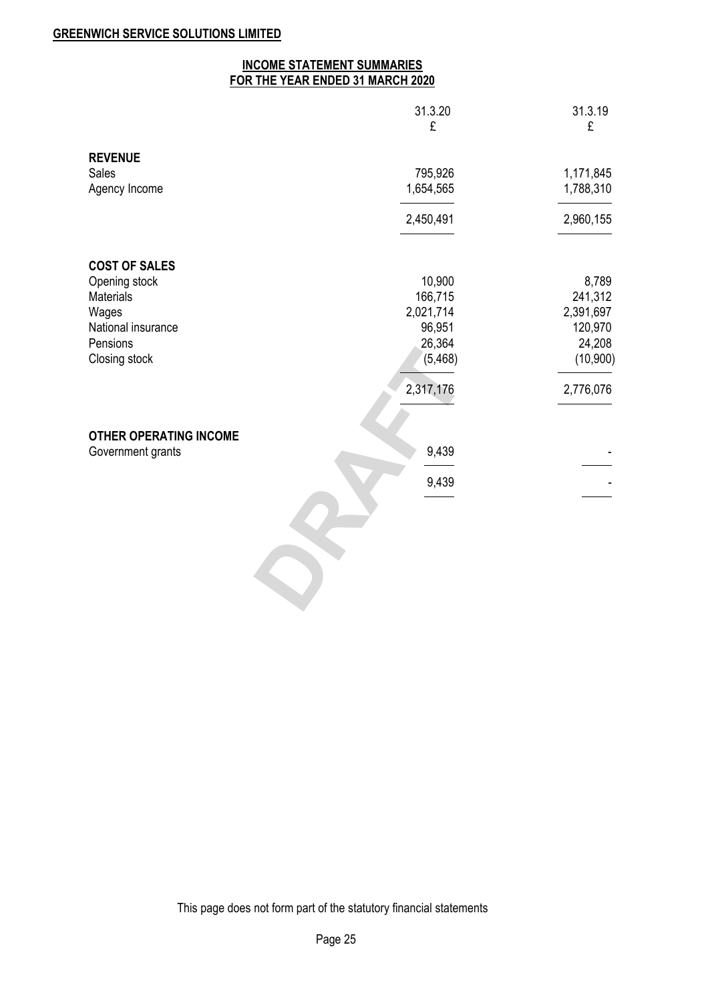# **INCOME STATEMENT SUMMARIES FOR THE YEAR ENDED 31 MARCH 2020**

|                               | 31.3.20<br>£      | 31.3.19<br>£        |
|-------------------------------|-------------------|---------------------|
| <b>REVENUE</b><br>Sales       | 795,926           | 1,171,845           |
| Agency Income                 | 1,654,565         | 1,788,310           |
|                               | 2,450,491         | 2,960,155           |
| <b>COST OF SALES</b>          |                   |                     |
| Opening stock                 | 10,900            | 8,789               |
| Materials                     | 166,715           | 241,312             |
| Wages                         | 2,021,714         | 2,391,697           |
| National insurance            | 96,951            | 120,970             |
| Pensions<br>Closing stock     | 26,364<br>(5,468) | 24,208<br>(10, 900) |
|                               | 2,317,176         | 2,776,076           |
| <b>OTHER OPERATING INCOME</b> |                   |                     |
| Government grants             | 9,439             |                     |
|                               | 9,439             |                     |
|                               |                   |                     |
|                               |                   |                     |
|                               |                   |                     |

This page does not form part of the statutory financial statements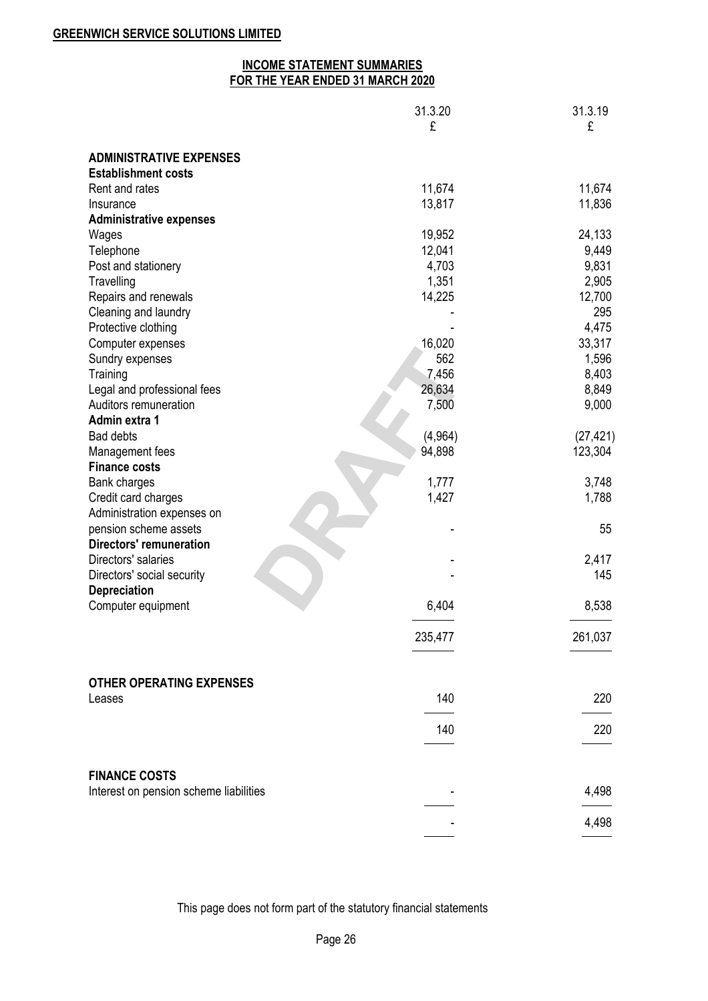# **INCOME STATEMENT SUMMARIES FOR THE YEAR ENDED 31 MARCH 2020**

|                                                              | 31.3.20<br>£   | 31.3.19<br>£ |
|--------------------------------------------------------------|----------------|--------------|
|                                                              |                |              |
| <b>ADMINISTRATIVE EXPENSES</b><br><b>Establishment costs</b> |                |              |
| Rent and rates                                               | 11,674         | 11,674       |
| Insurance                                                    | 13,817         | 11,836       |
| <b>Administrative expenses</b>                               |                |              |
| Wages                                                        | 19,952         | 24,133       |
| Telephone                                                    | 12,041         | 9,449        |
| Post and stationery                                          | 4,703          | 9,831        |
| Travelling                                                   | 1,351          | 2,905        |
| Repairs and renewals                                         | 14,225         | 12,700       |
| Cleaning and laundry                                         |                | 295          |
| Protective clothing                                          |                | 4,475        |
| Computer expenses                                            | 16,020         | 33,317       |
| Sundry expenses                                              | 562            | 1,596        |
| Training                                                     | 7,456          | 8,403        |
| Legal and professional fees                                  | 26,634         | 8,849        |
| Auditors remuneration                                        | 7,500          | 9,000        |
| Admin extra 1                                                |                |              |
| Bad debts                                                    | (4, 964)       | (27, 421)    |
| Management fees                                              | 94,898         | 123,304      |
| <b>Finance costs</b>                                         |                |              |
| Bank charges                                                 | 1,777<br>1,427 | 3,748        |
| Credit card charges<br>Administration expenses on            |                | 1,788        |
| pension scheme assets                                        |                | 55           |
| Directors' remuneration                                      |                |              |
| Directors' salaries                                          |                | 2,417        |
| Directors' social security                                   |                | 145          |
| <b>Depreciation</b>                                          |                |              |
| Computer equipment                                           | 6,404          | 8,538        |
|                                                              |                |              |
|                                                              | 235,477        | 261,037      |
|                                                              |                |              |
| <b>OTHER OPERATING EXPENSES</b>                              |                |              |
| Leases                                                       | 140            | 220          |
|                                                              | 140            | 220          |
|                                                              |                |              |
| <b>FINANCE COSTS</b>                                         |                |              |
| Interest on pension scheme liabilities                       |                | 4,498        |
|                                                              |                |              |
|                                                              |                | 4,498        |

This page does not form part of the statutory financial statements